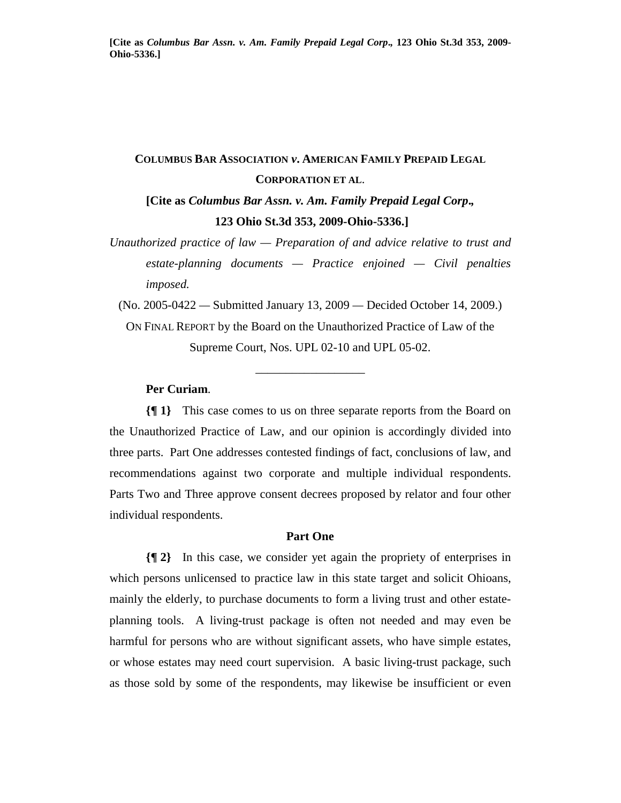# **COLUMBUS BAR ASSOCIATION** *v***. AMERICAN FAMILY PREPAID LEGAL CORPORATION ET AL**.

**[Cite as** *Columbus Bar Assn. v. Am. Family Prepaid Legal Corp***.***,*   **123 Ohio St.3d 353, 2009-Ohio-5336.]** 

*Unauthorized practice of law — Preparation of and advice relative to trust and estate-planning documents — Practice enjoined — Civil penalties imposed.* 

(No. 2005-0422 *—* Submitted January 13, 2009 *—* Decided October 14, 2009.) ON FINAL REPORT by the Board on the Unauthorized Practice of Law of the Supreme Court, Nos. UPL 02-10 and UPL 05-02.

\_\_\_\_\_\_\_\_\_\_\_\_\_\_\_\_\_\_

**Per Curiam**.

**{¶ 1}** This case comes to us on three separate reports from the Board on the Unauthorized Practice of Law, and our opinion is accordingly divided into three parts. Part One addresses contested findings of fact, conclusions of law, and recommendations against two corporate and multiple individual respondents. Parts Two and Three approve consent decrees proposed by relator and four other individual respondents.

#### **Part One**

**{¶ 2}** In this case, we consider yet again the propriety of enterprises in which persons unlicensed to practice law in this state target and solicit Ohioans, mainly the elderly, to purchase documents to form a living trust and other estateplanning tools. A living-trust package is often not needed and may even be harmful for persons who are without significant assets, who have simple estates, or whose estates may need court supervision. A basic living-trust package, such as those sold by some of the respondents, may likewise be insufficient or even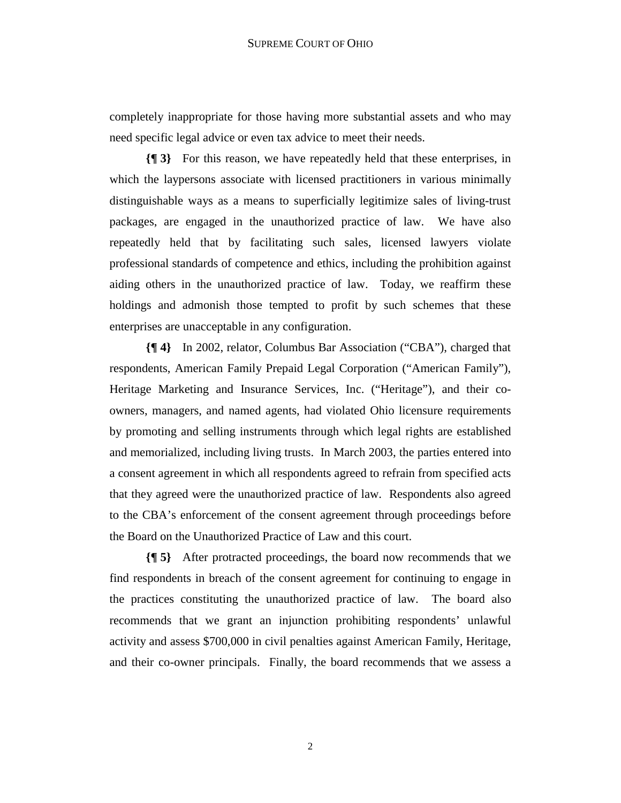completely inappropriate for those having more substantial assets and who may need specific legal advice or even tax advice to meet their needs.

**{¶ 3}** For this reason, we have repeatedly held that these enterprises, in which the laypersons associate with licensed practitioners in various minimally distinguishable ways as a means to superficially legitimize sales of living-trust packages, are engaged in the unauthorized practice of law. We have also repeatedly held that by facilitating such sales, licensed lawyers violate professional standards of competence and ethics, including the prohibition against aiding others in the unauthorized practice of law. Today, we reaffirm these holdings and admonish those tempted to profit by such schemes that these enterprises are unacceptable in any configuration.

**{¶ 4}** In 2002, relator, Columbus Bar Association ("CBA"), charged that respondents, American Family Prepaid Legal Corporation ("American Family"), Heritage Marketing and Insurance Services, Inc. ("Heritage"), and their coowners, managers, and named agents, had violated Ohio licensure requirements by promoting and selling instruments through which legal rights are established and memorialized, including living trusts. In March 2003, the parties entered into a consent agreement in which all respondents agreed to refrain from specified acts that they agreed were the unauthorized practice of law. Respondents also agreed to the CBA's enforcement of the consent agreement through proceedings before the Board on the Unauthorized Practice of Law and this court.

**{¶ 5}** After protracted proceedings, the board now recommends that we find respondents in breach of the consent agreement for continuing to engage in the practices constituting the unauthorized practice of law. The board also recommends that we grant an injunction prohibiting respondents' unlawful activity and assess \$700,000 in civil penalties against American Family, Heritage, and their co-owner principals. Finally, the board recommends that we assess a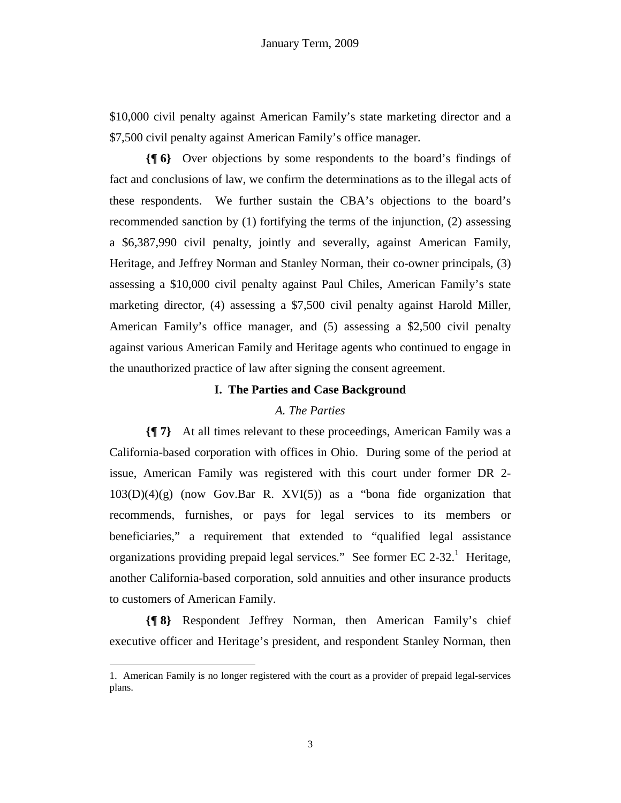\$10,000 civil penalty against American Family's state marketing director and a \$7,500 civil penalty against American Family's office manager.

**{¶ 6}** Over objections by some respondents to the board's findings of fact and conclusions of law, we confirm the determinations as to the illegal acts of these respondents. We further sustain the CBA's objections to the board's recommended sanction by (1) fortifying the terms of the injunction, (2) assessing a \$6,387,990 civil penalty, jointly and severally, against American Family, Heritage, and Jeffrey Norman and Stanley Norman, their co-owner principals, (3) assessing a \$10,000 civil penalty against Paul Chiles, American Family's state marketing director, (4) assessing a \$7,500 civil penalty against Harold Miller, American Family's office manager, and (5) assessing a \$2,500 civil penalty against various American Family and Heritage agents who continued to engage in the unauthorized practice of law after signing the consent agreement.

#### **I. The Parties and Case Background**

## *A. The Parties*

**{¶ 7}** At all times relevant to these proceedings, American Family was a California-based corporation with offices in Ohio. During some of the period at issue, American Family was registered with this court under former DR 2-  $103(D)(4)(g)$  (now Gov.Bar R. XVI(5)) as a "bona fide organization that recommends, furnishes, or pays for legal services to its members or beneficiaries," a requirement that extended to "qualified legal assistance organizations providing prepaid legal services." See former EC 2-32.<sup>1</sup> Heritage, another California-based corporation, sold annuities and other insurance products to customers of American Family.

**{¶ 8}** Respondent Jeffrey Norman, then American Family's chief executive officer and Heritage's president, and respondent Stanley Norman, then

<sup>1.</sup> American Family is no longer registered with the court as a provider of prepaid legal-services plans.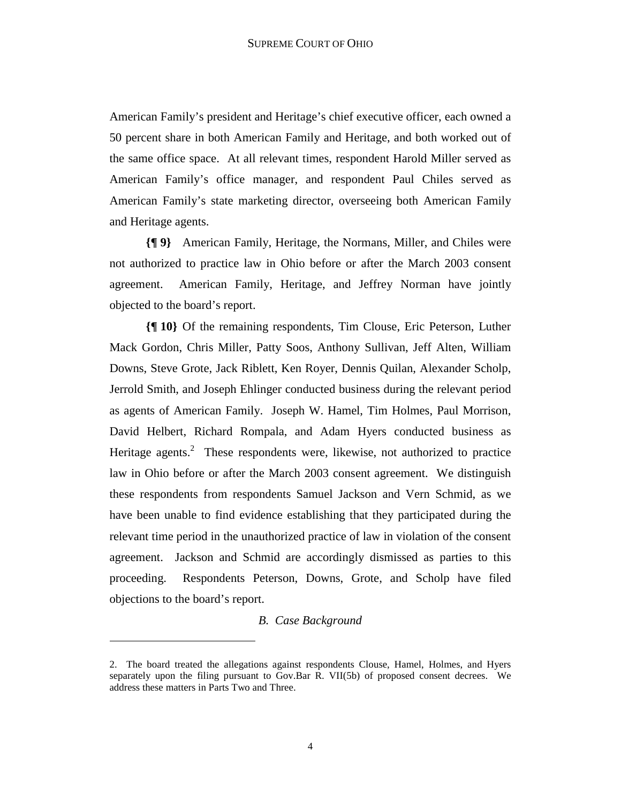American Family's president and Heritage's chief executive officer, each owned a 50 percent share in both American Family and Heritage, and both worked out of the same office space. At all relevant times, respondent Harold Miller served as American Family's office manager, and respondent Paul Chiles served as American Family's state marketing director, overseeing both American Family and Heritage agents.

**{¶ 9}** American Family, Heritage, the Normans, Miller, and Chiles were not authorized to practice law in Ohio before or after the March 2003 consent agreement. American Family, Heritage, and Jeffrey Norman have jointly objected to the board's report.

**{¶ 10}** Of the remaining respondents, Tim Clouse, Eric Peterson, Luther Mack Gordon, Chris Miller, Patty Soos, Anthony Sullivan, Jeff Alten, William Downs, Steve Grote, Jack Riblett, Ken Royer, Dennis Quilan, Alexander Scholp, Jerrold Smith, and Joseph Ehlinger conducted business during the relevant period as agents of American Family. Joseph W. Hamel, Tim Holmes, Paul Morrison, David Helbert, Richard Rompala, and Adam Hyers conducted business as Heritage agents.<sup>2</sup> These respondents were, likewise, not authorized to practice law in Ohio before or after the March 2003 consent agreement. We distinguish these respondents from respondents Samuel Jackson and Vern Schmid, as we have been unable to find evidence establishing that they participated during the relevant time period in the unauthorized practice of law in violation of the consent agreement. Jackson and Schmid are accordingly dismissed as parties to this proceeding. Respondents Peterson, Downs, Grote, and Scholp have filed objections to the board's report.

## *B. Case Background*

<sup>2.</sup> The board treated the allegations against respondents Clouse, Hamel, Holmes, and Hyers separately upon the filing pursuant to Gov.Bar R. VII(5b) of proposed consent decrees. We address these matters in Parts Two and Three.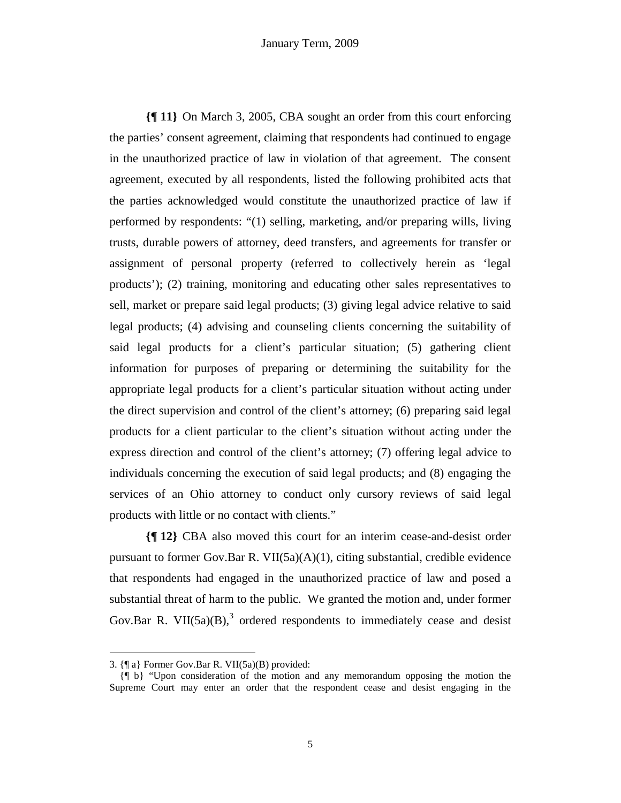**{¶ 11}** On March 3, 2005, CBA sought an order from this court enforcing the parties' consent agreement, claiming that respondents had continued to engage in the unauthorized practice of law in violation of that agreement. The consent agreement, executed by all respondents, listed the following prohibited acts that the parties acknowledged would constitute the unauthorized practice of law if performed by respondents: "(1) selling, marketing, and/or preparing wills, living trusts, durable powers of attorney, deed transfers, and agreements for transfer or assignment of personal property (referred to collectively herein as 'legal products'); (2) training, monitoring and educating other sales representatives to sell, market or prepare said legal products; (3) giving legal advice relative to said legal products; (4) advising and counseling clients concerning the suitability of said legal products for a client's particular situation; (5) gathering client information for purposes of preparing or determining the suitability for the appropriate legal products for a client's particular situation without acting under the direct supervision and control of the client's attorney; (6) preparing said legal products for a client particular to the client's situation without acting under the express direction and control of the client's attorney; (7) offering legal advice to individuals concerning the execution of said legal products; and (8) engaging the services of an Ohio attorney to conduct only cursory reviews of said legal products with little or no contact with clients."

**{¶ 12}** CBA also moved this court for an interim cease-and-desist order pursuant to former Gov.Bar R. VII(5a)(A)(1), citing substantial, credible evidence that respondents had engaged in the unauthorized practice of law and posed a substantial threat of harm to the public. We granted the motion and, under former Gov.Bar R. VII(5a)(B),<sup>3</sup> ordered respondents to immediately cease and desist

<sup>3. {¶</sup> a} Former Gov.Bar R. VII(5a)(B) provided:

 <sup>{¶</sup> b} "Upon consideration of the motion and any memorandum opposing the motion the Supreme Court may enter an order that the respondent cease and desist engaging in the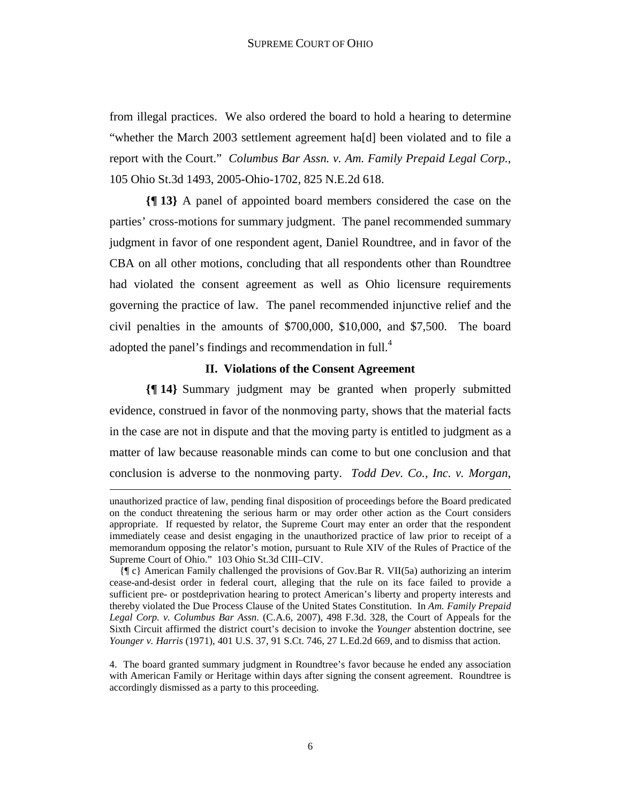from illegal practices. We also ordered the board to hold a hearing to determine "whether the March 2003 settlement agreement ha[d] been violated and to file a report with the Court." *Columbus Bar Assn. v. Am. Family Prepaid Legal Corp.*, 105 Ohio St.3d 1493, 2005-Ohio-1702, 825 N.E.2d 618.

**{¶ 13}** A panel of appointed board members considered the case on the parties' cross-motions for summary judgment. The panel recommended summary judgment in favor of one respondent agent, Daniel Roundtree, and in favor of the CBA on all other motions, concluding that all respondents other than Roundtree had violated the consent agreement as well as Ohio licensure requirements governing the practice of law. The panel recommended injunctive relief and the civil penalties in the amounts of \$700,000, \$10,000, and \$7,500. The board adopted the panel's findings and recommendation in full.<sup>4</sup>

## **II. Violations of the Consent Agreement**

**{¶ 14}** Summary judgment may be granted when properly submitted evidence, construed in favor of the nonmoving party, shows that the material facts in the case are not in dispute and that the moving party is entitled to judgment as a matter of law because reasonable minds can come to but one conclusion and that conclusion is adverse to the nonmoving party. *Todd Dev. Co., Inc. v. Morgan*,

unauthorized practice of law, pending final disposition of proceedings before the Board predicated on the conduct threatening the serious harm or may order other action as the Court considers appropriate. If requested by relator, the Supreme Court may enter an order that the respondent immediately cease and desist engaging in the unauthorized practice of law prior to receipt of a memorandum opposing the relator's motion, pursuant to Rule XIV of the Rules of Practice of the Supreme Court of Ohio." 103 Ohio St.3d CIII–CIV.

 <sup>{¶</sup> c} American Family challenged the provisions of Gov.Bar R. VII(5a) authorizing an interim cease-and-desist order in federal court, alleging that the rule on its face failed to provide a sufficient pre- or postdeprivation hearing to protect American's liberty and property interests and thereby violated the Due Process Clause of the United States Constitution. In *Am. Family Prepaid Legal Corp. v. Columbus Bar Assn.* (C.A.6, 2007), 498 F.3d. 328, the Court of Appeals for the Sixth Circuit affirmed the district court's decision to invoke the *Younger* abstention doctrine, see *Younger v. Harris* (1971), 401 U.S. 37, 91 S.Ct. 746, 27 L.Ed.2d 669, and to dismiss that action.

<sup>4.</sup> The board granted summary judgment in Roundtree's favor because he ended any association with American Family or Heritage within days after signing the consent agreement. Roundtree is accordingly dismissed as a party to this proceeding.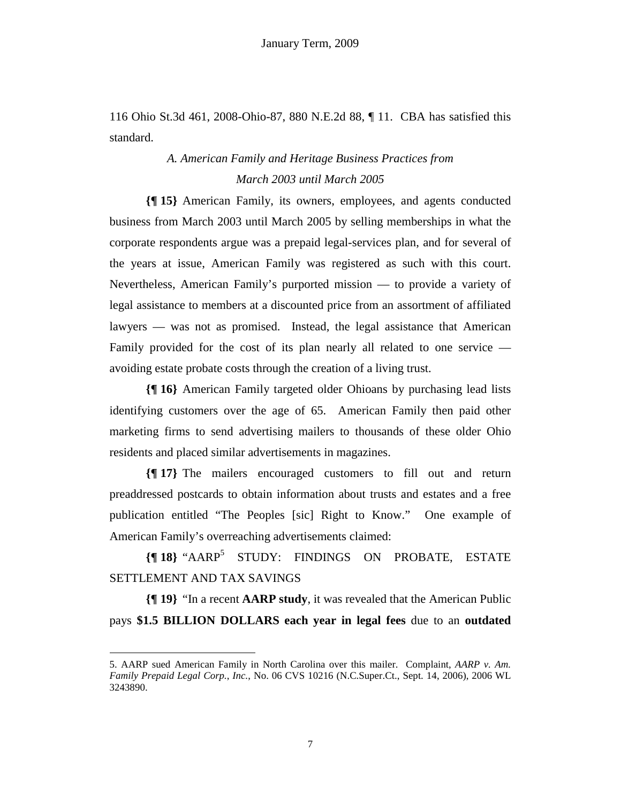116 Ohio St.3d 461, 2008-Ohio-87, 880 N.E.2d 88, ¶ 11. CBA has satisfied this standard.

## *A. American Family and Heritage Business Practices from March 2003 until March 2005*

**{¶ 15}** American Family, its owners, employees, and agents conducted business from March 2003 until March 2005 by selling memberships in what the corporate respondents argue was a prepaid legal-services plan, and for several of the years at issue, American Family was registered as such with this court. Nevertheless, American Family's purported mission — to provide a variety of legal assistance to members at a discounted price from an assortment of affiliated lawyers — was not as promised. Instead, the legal assistance that American Family provided for the cost of its plan nearly all related to one service avoiding estate probate costs through the creation of a living trust.

**{¶ 16}** American Family targeted older Ohioans by purchasing lead lists identifying customers over the age of 65. American Family then paid other marketing firms to send advertising mailers to thousands of these older Ohio residents and placed similar advertisements in magazines.

**{¶ 17}** The mailers encouraged customers to fill out and return preaddressed postcards to obtain information about trusts and estates and a free publication entitled "The Peoples [sic] Right to Know." One example of American Family's overreaching advertisements claimed:

**{¶ 18}** "AARP<sup>5</sup> STUDY: FINDINGS ON PROBATE, ESTATE SETTLEMENT AND TAX SAVINGS

**{¶ 19}** "In a recent **AARP study**, it was revealed that the American Public pays **\$1.5 BILLION DOLLARS each year in legal fees** due to an **outdated** 

<sup>5.</sup> AARP sued American Family in North Carolina over this mailer. Complaint, *AARP v. Am. Family Prepaid Legal Corp.*, *Inc.*, No. 06 CVS 10216 (N.C.Super.Ct., Sept. 14, 2006), 2006 WL 3243890.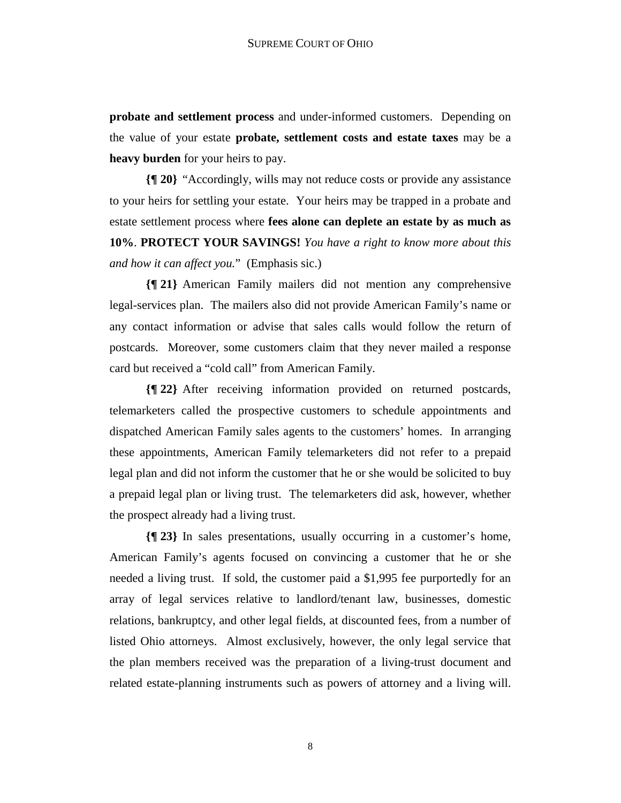**probate and settlement process** and under-informed customers. Depending on the value of your estate **probate, settlement costs and estate taxes** may be a **heavy burden** for your heirs to pay.

**{¶ 20}** "Accordingly, wills may not reduce costs or provide any assistance to your heirs for settling your estate. Your heirs may be trapped in a probate and estate settlement process where **fees alone can deplete an estate by as much as 10%**. **PROTECT YOUR SAVINGS!** *You have a right to know more about this and how it can affect you.*" (Emphasis sic.)

**{¶ 21}** American Family mailers did not mention any comprehensive legal-services plan. The mailers also did not provide American Family's name or any contact information or advise that sales calls would follow the return of postcards. Moreover, some customers claim that they never mailed a response card but received a "cold call" from American Family.

**{¶ 22}** After receiving information provided on returned postcards, telemarketers called the prospective customers to schedule appointments and dispatched American Family sales agents to the customers' homes. In arranging these appointments, American Family telemarketers did not refer to a prepaid legal plan and did not inform the customer that he or she would be solicited to buy a prepaid legal plan or living trust. The telemarketers did ask, however, whether the prospect already had a living trust.

**{¶ 23}** In sales presentations, usually occurring in a customer's home, American Family's agents focused on convincing a customer that he or she needed a living trust. If sold, the customer paid a \$1,995 fee purportedly for an array of legal services relative to landlord/tenant law, businesses, domestic relations, bankruptcy, and other legal fields, at discounted fees, from a number of listed Ohio attorneys. Almost exclusively, however, the only legal service that the plan members received was the preparation of a living-trust document and related estate-planning instruments such as powers of attorney and a living will.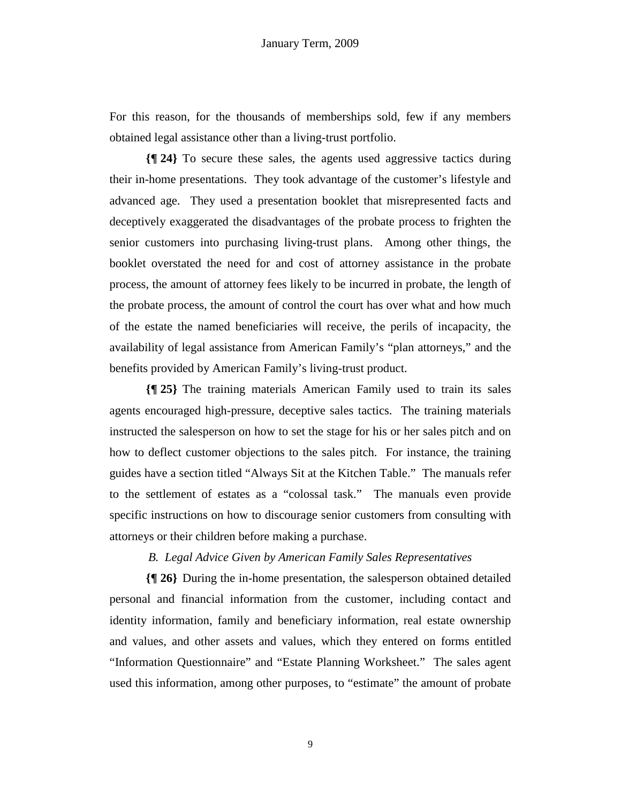For this reason, for the thousands of memberships sold, few if any members obtained legal assistance other than a living-trust portfolio.

**{¶ 24}** To secure these sales, the agents used aggressive tactics during their in-home presentations. They took advantage of the customer's lifestyle and advanced age. They used a presentation booklet that misrepresented facts and deceptively exaggerated the disadvantages of the probate process to frighten the senior customers into purchasing living-trust plans. Among other things, the booklet overstated the need for and cost of attorney assistance in the probate process, the amount of attorney fees likely to be incurred in probate, the length of the probate process, the amount of control the court has over what and how much of the estate the named beneficiaries will receive, the perils of incapacity, the availability of legal assistance from American Family's "plan attorneys," and the benefits provided by American Family's living-trust product.

**{¶ 25}** The training materials American Family used to train its sales agents encouraged high-pressure, deceptive sales tactics. The training materials instructed the salesperson on how to set the stage for his or her sales pitch and on how to deflect customer objections to the sales pitch. For instance, the training guides have a section titled "Always Sit at the Kitchen Table." The manuals refer to the settlement of estates as a "colossal task." The manuals even provide specific instructions on how to discourage senior customers from consulting with attorneys or their children before making a purchase.

## *B. Legal Advice Given by American Family Sales Representatives*

**{¶ 26}** During the in-home presentation, the salesperson obtained detailed personal and financial information from the customer, including contact and identity information, family and beneficiary information, real estate ownership and values, and other assets and values, which they entered on forms entitled "Information Questionnaire" and "Estate Planning Worksheet." The sales agent used this information, among other purposes, to "estimate" the amount of probate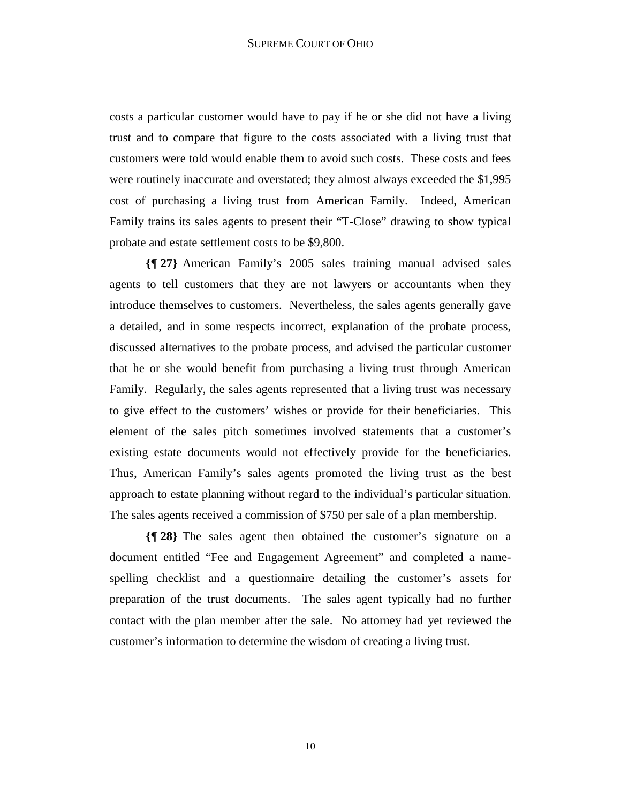costs a particular customer would have to pay if he or she did not have a living trust and to compare that figure to the costs associated with a living trust that customers were told would enable them to avoid such costs. These costs and fees were routinely inaccurate and overstated; they almost always exceeded the \$1,995 cost of purchasing a living trust from American Family. Indeed, American Family trains its sales agents to present their "T-Close" drawing to show typical probate and estate settlement costs to be \$9,800.

**{¶ 27}** American Family's 2005 sales training manual advised sales agents to tell customers that they are not lawyers or accountants when they introduce themselves to customers. Nevertheless, the sales agents generally gave a detailed, and in some respects incorrect, explanation of the probate process, discussed alternatives to the probate process, and advised the particular customer that he or she would benefit from purchasing a living trust through American Family. Regularly, the sales agents represented that a living trust was necessary to give effect to the customers' wishes or provide for their beneficiaries. This element of the sales pitch sometimes involved statements that a customer's existing estate documents would not effectively provide for the beneficiaries. Thus, American Family's sales agents promoted the living trust as the best approach to estate planning without regard to the individual's particular situation. The sales agents received a commission of \$750 per sale of a plan membership.

**{¶ 28}** The sales agent then obtained the customer's signature on a document entitled "Fee and Engagement Agreement" and completed a namespelling checklist and a questionnaire detailing the customer's assets for preparation of the trust documents. The sales agent typically had no further contact with the plan member after the sale. No attorney had yet reviewed the customer's information to determine the wisdom of creating a living trust.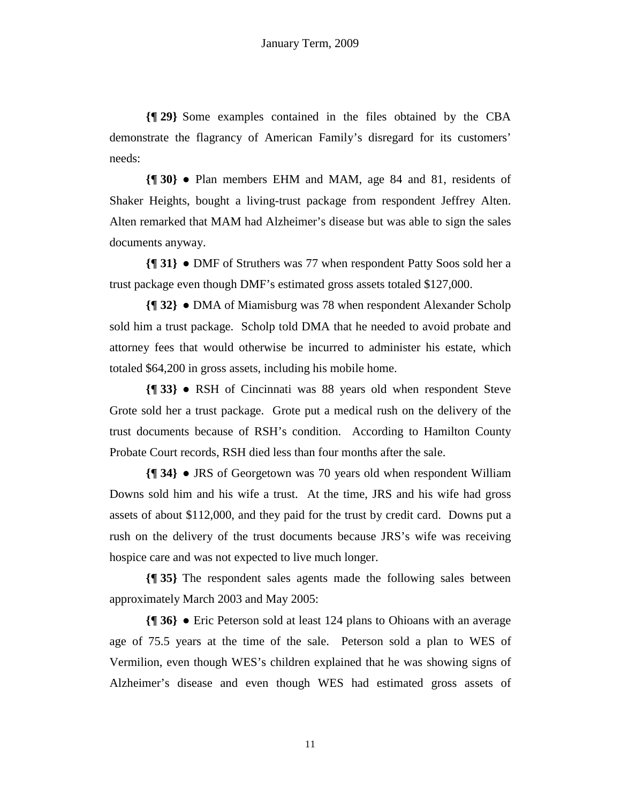**{¶ 29}** Some examples contained in the files obtained by the CBA demonstrate the flagrancy of American Family's disregard for its customers' needs:

**{¶ 30}** ● Plan members EHM and MAM, age 84 and 81, residents of Shaker Heights, bought a living-trust package from respondent Jeffrey Alten. Alten remarked that MAM had Alzheimer's disease but was able to sign the sales documents anyway.

**{¶ 31}** ● DMF of Struthers was 77 when respondent Patty Soos sold her a trust package even though DMF's estimated gross assets totaled \$127,000.

**{¶ 32}** ● DMA of Miamisburg was 78 when respondent Alexander Scholp sold him a trust package. Scholp told DMA that he needed to avoid probate and attorney fees that would otherwise be incurred to administer his estate, which totaled \$64,200 in gross assets, including his mobile home.

**{¶ 33}** ● RSH of Cincinnati was 88 years old when respondent Steve Grote sold her a trust package. Grote put a medical rush on the delivery of the trust documents because of RSH's condition. According to Hamilton County Probate Court records, RSH died less than four months after the sale.

**{¶ 34}** ● JRS of Georgetown was 70 years old when respondent William Downs sold him and his wife a trust. At the time, JRS and his wife had gross assets of about \$112,000, and they paid for the trust by credit card. Downs put a rush on the delivery of the trust documents because JRS's wife was receiving hospice care and was not expected to live much longer.

**{¶ 35}** The respondent sales agents made the following sales between approximately March 2003 and May 2005:

**{¶ 36}** ● Eric Peterson sold at least 124 plans to Ohioans with an average age of 75.5 years at the time of the sale. Peterson sold a plan to WES of Vermilion, even though WES's children explained that he was showing signs of Alzheimer's disease and even though WES had estimated gross assets of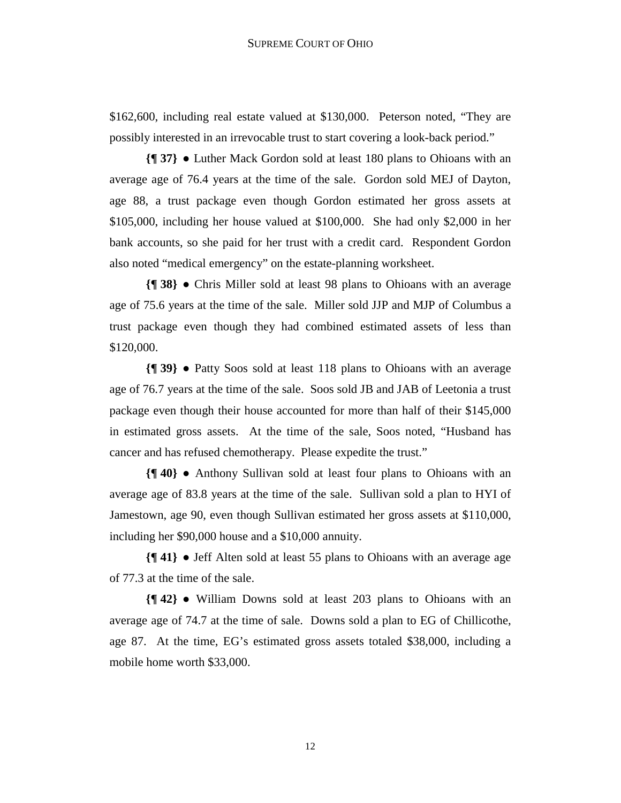\$162,600, including real estate valued at \$130,000. Peterson noted, "They are possibly interested in an irrevocable trust to start covering a look-back period."

**{¶ 37}** ● Luther Mack Gordon sold at least 180 plans to Ohioans with an average age of 76.4 years at the time of the sale. Gordon sold MEJ of Dayton, age 88, a trust package even though Gordon estimated her gross assets at \$105,000, including her house valued at \$100,000. She had only \$2,000 in her bank accounts, so she paid for her trust with a credit card. Respondent Gordon also noted "medical emergency" on the estate-planning worksheet.

**{¶ 38}** ● Chris Miller sold at least 98 plans to Ohioans with an average age of 75.6 years at the time of the sale. Miller sold JJP and MJP of Columbus a trust package even though they had combined estimated assets of less than \$120,000.

**{¶ 39}** ● Patty Soos sold at least 118 plans to Ohioans with an average age of 76.7 years at the time of the sale. Soos sold JB and JAB of Leetonia a trust package even though their house accounted for more than half of their \$145,000 in estimated gross assets. At the time of the sale, Soos noted, "Husband has cancer and has refused chemotherapy. Please expedite the trust."

**{¶ 40}** ● Anthony Sullivan sold at least four plans to Ohioans with an average age of 83.8 years at the time of the sale. Sullivan sold a plan to HYI of Jamestown, age 90, even though Sullivan estimated her gross assets at \$110,000, including her \$90,000 house and a \$10,000 annuity.

**{¶ 41}** ● Jeff Alten sold at least 55 plans to Ohioans with an average age of 77.3 at the time of the sale.

**{¶ 42}** ● William Downs sold at least 203 plans to Ohioans with an average age of 74.7 at the time of sale. Downs sold a plan to EG of Chillicothe, age 87. At the time, EG's estimated gross assets totaled \$38,000, including a mobile home worth \$33,000.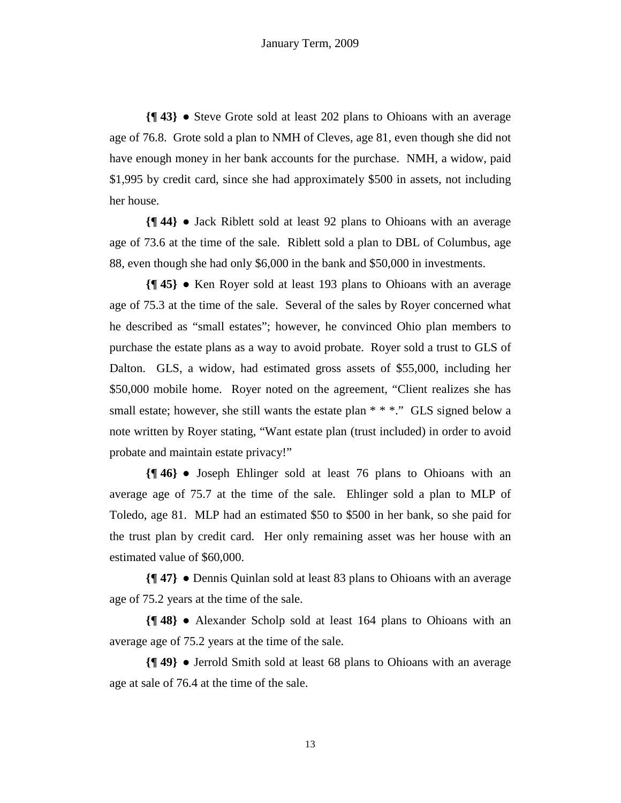**{¶ 43}** ● Steve Grote sold at least 202 plans to Ohioans with an average age of 76.8. Grote sold a plan to NMH of Cleves, age 81, even though she did not have enough money in her bank accounts for the purchase. NMH, a widow, paid \$1,995 by credit card, since she had approximately \$500 in assets, not including her house.

**{¶ 44}** ● Jack Riblett sold at least 92 plans to Ohioans with an average age of 73.6 at the time of the sale. Riblett sold a plan to DBL of Columbus, age 88, even though she had only \$6,000 in the bank and \$50,000 in investments.

**{¶ 45}** ● Ken Royer sold at least 193 plans to Ohioans with an average age of 75.3 at the time of the sale. Several of the sales by Royer concerned what he described as "small estates"; however, he convinced Ohio plan members to purchase the estate plans as a way to avoid probate. Royer sold a trust to GLS of Dalton. GLS, a widow, had estimated gross assets of \$55,000, including her \$50,000 mobile home. Royer noted on the agreement, "Client realizes she has small estate; however, she still wants the estate plan  $**$  \*... GLS signed below a note written by Royer stating, "Want estate plan (trust included) in order to avoid probate and maintain estate privacy!"

**{¶ 46}** ● Joseph Ehlinger sold at least 76 plans to Ohioans with an average age of 75.7 at the time of the sale. Ehlinger sold a plan to MLP of Toledo, age 81. MLP had an estimated \$50 to \$500 in her bank, so she paid for the trust plan by credit card. Her only remaining asset was her house with an estimated value of \$60,000.

**{¶ 47}** ● Dennis Quinlan sold at least 83 plans to Ohioans with an average age of 75.2 years at the time of the sale.

**{¶ 48}** ● Alexander Scholp sold at least 164 plans to Ohioans with an average age of 75.2 years at the time of the sale.

**{¶ 49}** ● Jerrold Smith sold at least 68 plans to Ohioans with an average age at sale of 76.4 at the time of the sale.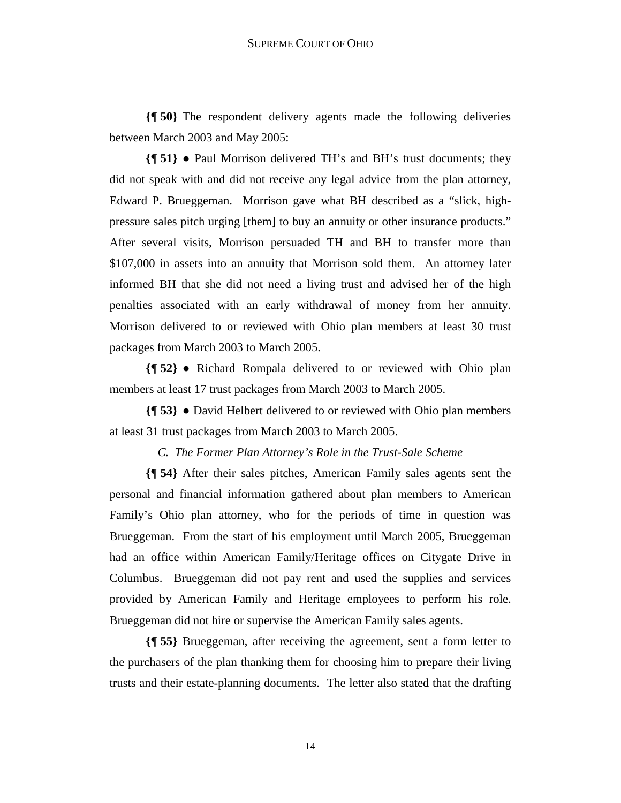**{¶ 50}** The respondent delivery agents made the following deliveries between March 2003 and May 2005:

**{¶ 51}** ● Paul Morrison delivered TH's and BH's trust documents; they did not speak with and did not receive any legal advice from the plan attorney, Edward P. Brueggeman. Morrison gave what BH described as a "slick, highpressure sales pitch urging [them] to buy an annuity or other insurance products." After several visits, Morrison persuaded TH and BH to transfer more than \$107,000 in assets into an annuity that Morrison sold them. An attorney later informed BH that she did not need a living trust and advised her of the high penalties associated with an early withdrawal of money from her annuity. Morrison delivered to or reviewed with Ohio plan members at least 30 trust packages from March 2003 to March 2005.

**{¶ 52}** ● Richard Rompala delivered to or reviewed with Ohio plan members at least 17 trust packages from March 2003 to March 2005.

**{¶ 53}** ● David Helbert delivered to or reviewed with Ohio plan members at least 31 trust packages from March 2003 to March 2005.

## *C. The Former Plan Attorney's Role in the Trust-Sale Scheme*

**{¶ 54}** After their sales pitches, American Family sales agents sent the personal and financial information gathered about plan members to American Family's Ohio plan attorney, who for the periods of time in question was Brueggeman. From the start of his employment until March 2005, Brueggeman had an office within American Family/Heritage offices on Citygate Drive in Columbus. Brueggeman did not pay rent and used the supplies and services provided by American Family and Heritage employees to perform his role. Brueggeman did not hire or supervise the American Family sales agents.

**{¶ 55}** Brueggeman, after receiving the agreement, sent a form letter to the purchasers of the plan thanking them for choosing him to prepare their living trusts and their estate-planning documents. The letter also stated that the drafting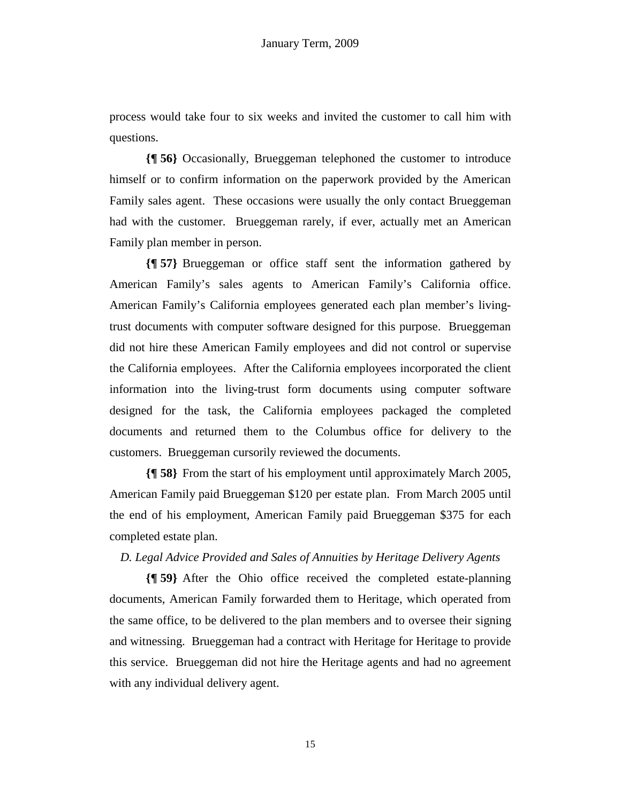process would take four to six weeks and invited the customer to call him with questions.

**{¶ 56}** Occasionally, Brueggeman telephoned the customer to introduce himself or to confirm information on the paperwork provided by the American Family sales agent. These occasions were usually the only contact Brueggeman had with the customer. Brueggeman rarely, if ever, actually met an American Family plan member in person.

**{¶ 57}** Brueggeman or office staff sent the information gathered by American Family's sales agents to American Family's California office. American Family's California employees generated each plan member's livingtrust documents with computer software designed for this purpose. Brueggeman did not hire these American Family employees and did not control or supervise the California employees. After the California employees incorporated the client information into the living-trust form documents using computer software designed for the task, the California employees packaged the completed documents and returned them to the Columbus office for delivery to the customers. Brueggeman cursorily reviewed the documents.

**{¶ 58}** From the start of his employment until approximately March 2005, American Family paid Brueggeman \$120 per estate plan. From March 2005 until the end of his employment, American Family paid Brueggeman \$375 for each completed estate plan.

## *D. Legal Advice Provided and Sales of Annuities by Heritage Delivery Agents*

**{¶ 59}** After the Ohio office received the completed estate-planning documents, American Family forwarded them to Heritage, which operated from the same office, to be delivered to the plan members and to oversee their signing and witnessing. Brueggeman had a contract with Heritage for Heritage to provide this service. Brueggeman did not hire the Heritage agents and had no agreement with any individual delivery agent.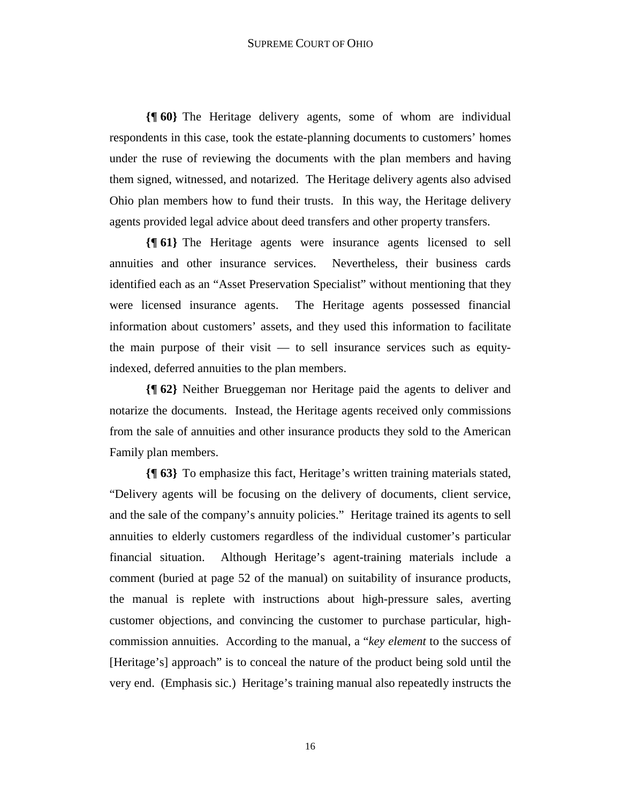**{¶ 60}** The Heritage delivery agents, some of whom are individual respondents in this case, took the estate-planning documents to customers' homes under the ruse of reviewing the documents with the plan members and having them signed, witnessed, and notarized. The Heritage delivery agents also advised Ohio plan members how to fund their trusts. In this way, the Heritage delivery agents provided legal advice about deed transfers and other property transfers.

**{¶ 61}** The Heritage agents were insurance agents licensed to sell annuities and other insurance services. Nevertheless, their business cards identified each as an "Asset Preservation Specialist" without mentioning that they were licensed insurance agents. The Heritage agents possessed financial information about customers' assets, and they used this information to facilitate the main purpose of their visit — to sell insurance services such as equityindexed, deferred annuities to the plan members.

**{¶ 62}** Neither Brueggeman nor Heritage paid the agents to deliver and notarize the documents. Instead, the Heritage agents received only commissions from the sale of annuities and other insurance products they sold to the American Family plan members.

**{¶ 63}** To emphasize this fact, Heritage's written training materials stated, "Delivery agents will be focusing on the delivery of documents, client service, and the sale of the company's annuity policies." Heritage trained its agents to sell annuities to elderly customers regardless of the individual customer's particular financial situation. Although Heritage's agent-training materials include a comment (buried at page 52 of the manual) on suitability of insurance products, the manual is replete with instructions about high-pressure sales, averting customer objections, and convincing the customer to purchase particular, highcommission annuities. According to the manual, a "*key element* to the success of [Heritage's] approach" is to conceal the nature of the product being sold until the very end. (Emphasis sic.) Heritage's training manual also repeatedly instructs the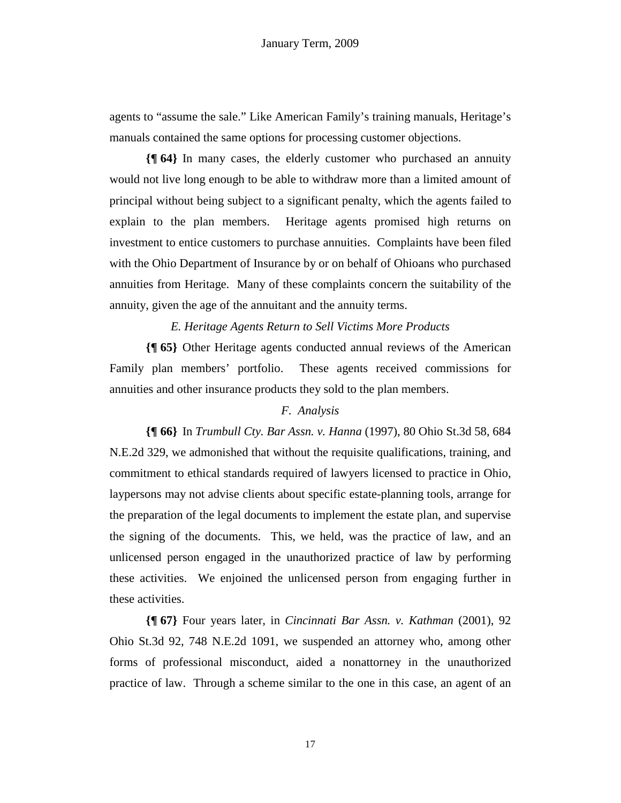agents to "assume the sale." Like American Family's training manuals, Heritage's manuals contained the same options for processing customer objections.

**{¶ 64}** In many cases, the elderly customer who purchased an annuity would not live long enough to be able to withdraw more than a limited amount of principal without being subject to a significant penalty, which the agents failed to explain to the plan members. Heritage agents promised high returns on investment to entice customers to purchase annuities. Complaints have been filed with the Ohio Department of Insurance by or on behalf of Ohioans who purchased annuities from Heritage. Many of these complaints concern the suitability of the annuity, given the age of the annuitant and the annuity terms.

#### *E. Heritage Agents Return to Sell Victims More Products*

**{¶ 65}** Other Heritage agents conducted annual reviews of the American Family plan members' portfolio. These agents received commissions for annuities and other insurance products they sold to the plan members.

## *F. Analysis*

**{¶ 66}** In *Trumbull Cty. Bar Assn. v. Hanna* (1997), 80 Ohio St.3d 58, 684 N.E.2d 329, we admonished that without the requisite qualifications, training, and commitment to ethical standards required of lawyers licensed to practice in Ohio, laypersons may not advise clients about specific estate-planning tools, arrange for the preparation of the legal documents to implement the estate plan, and supervise the signing of the documents. This, we held, was the practice of law, and an unlicensed person engaged in the unauthorized practice of law by performing these activities. We enjoined the unlicensed person from engaging further in these activities.

**{¶ 67}** Four years later, in *Cincinnati Bar Assn. v. Kathman* (2001), 92 Ohio St.3d 92, 748 N.E.2d 1091, we suspended an attorney who, among other forms of professional misconduct, aided a nonattorney in the unauthorized practice of law. Through a scheme similar to the one in this case, an agent of an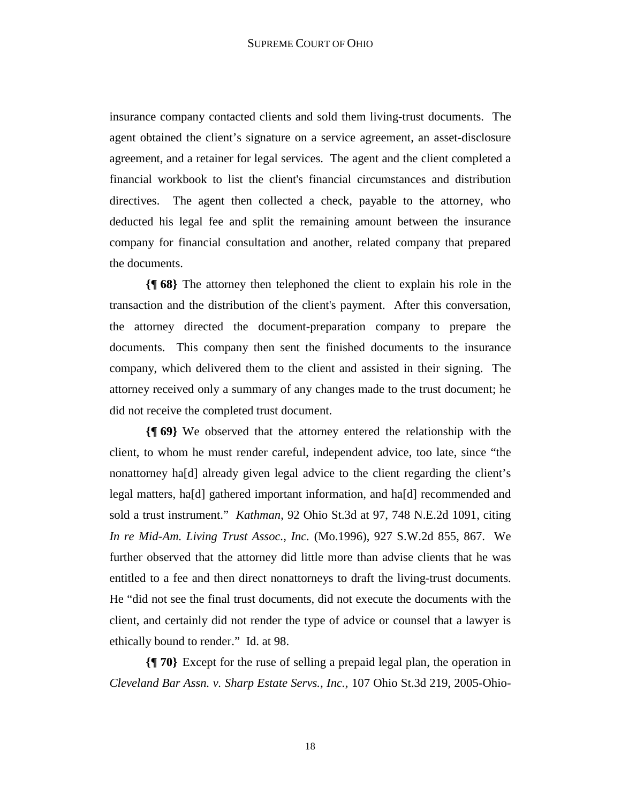insurance company contacted clients and sold them living-trust documents. The agent obtained the client's signature on a service agreement, an asset-disclosure agreement, and a retainer for legal services. The agent and the client completed a financial workbook to list the client's financial circumstances and distribution directives. The agent then collected a check, payable to the attorney, who deducted his legal fee and split the remaining amount between the insurance company for financial consultation and another, related company that prepared the documents.

**{¶ 68}** The attorney then telephoned the client to explain his role in the transaction and the distribution of the client's payment. After this conversation, the attorney directed the document-preparation company to prepare the documents. This company then sent the finished documents to the insurance company, which delivered them to the client and assisted in their signing. The attorney received only a summary of any changes made to the trust document; he did not receive the completed trust document.

**{¶ 69}** We observed that the attorney entered the relationship with the client, to whom he must render careful, independent advice, too late, since "the nonattorney ha[d] already given legal advice to the client regarding the client's legal matters, ha[d] gathered important information, and ha[d] recommended and sold a trust instrument." *Kathman*, 92 Ohio St.3d at 97, 748 N.E.2d 1091, citing *In re Mid-Am. Living Trust Assoc., Inc.* (Mo.1996), 927 S.W.2d 855, 867. We further observed that the attorney did little more than advise clients that he was entitled to a fee and then direct nonattorneys to draft the living-trust documents. He "did not see the final trust documents, did not execute the documents with the client, and certainly did not render the type of advice or counsel that a lawyer is ethically bound to render." Id. at 98.

**{¶ 70}** Except for the ruse of selling a prepaid legal plan, the operation in *Cleveland Bar Assn. v. Sharp Estate Servs., Inc.,* 107 Ohio St.3d 219, 2005-Ohio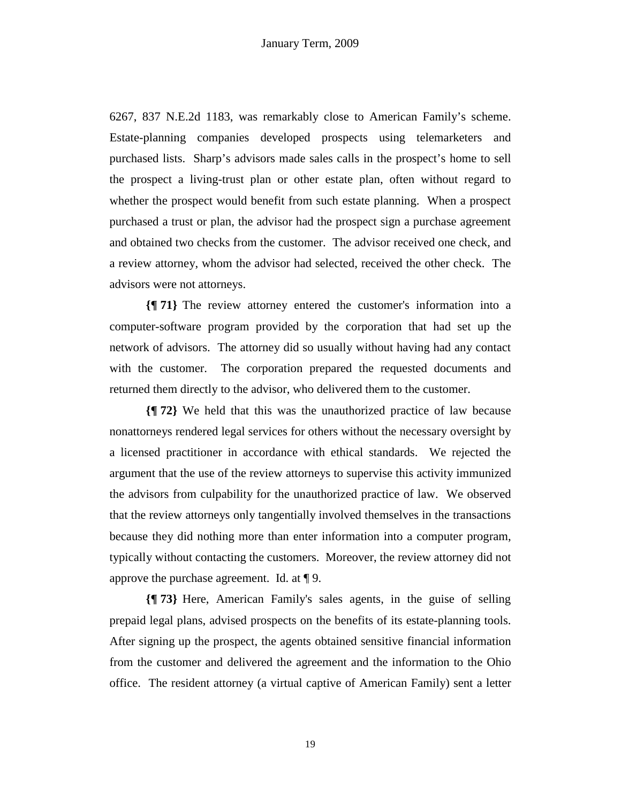6267, 837 N.E.2d 1183, was remarkably close to American Family's scheme. Estate-planning companies developed prospects using telemarketers and purchased lists. Sharp's advisors made sales calls in the prospect's home to sell the prospect a living-trust plan or other estate plan, often without regard to whether the prospect would benefit from such estate planning. When a prospect purchased a trust or plan, the advisor had the prospect sign a purchase agreement and obtained two checks from the customer. The advisor received one check, and a review attorney, whom the advisor had selected, received the other check. The advisors were not attorneys.

**{¶ 71}** The review attorney entered the customer's information into a computer-software program provided by the corporation that had set up the network of advisors. The attorney did so usually without having had any contact with the customer. The corporation prepared the requested documents and returned them directly to the advisor, who delivered them to the customer.

**{¶ 72}** We held that this was the unauthorized practice of law because nonattorneys rendered legal services for others without the necessary oversight by a licensed practitioner in accordance with ethical standards. We rejected the argument that the use of the review attorneys to supervise this activity immunized the advisors from culpability for the unauthorized practice of law. We observed that the review attorneys only tangentially involved themselves in the transactions because they did nothing more than enter information into a computer program, typically without contacting the customers. Moreover, the review attorney did not approve the purchase agreement. Id. at ¶ 9.

**{¶ 73}** Here, American Family's sales agents, in the guise of selling prepaid legal plans, advised prospects on the benefits of its estate-planning tools. After signing up the prospect, the agents obtained sensitive financial information from the customer and delivered the agreement and the information to the Ohio office. The resident attorney (a virtual captive of American Family) sent a letter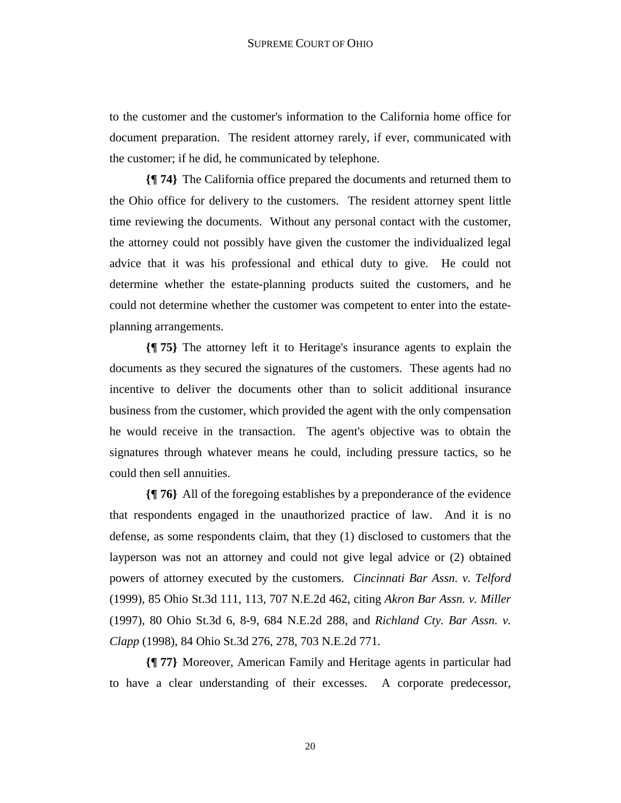to the customer and the customer's information to the California home office for document preparation. The resident attorney rarely, if ever, communicated with the customer; if he did, he communicated by telephone.

**{¶ 74}** The California office prepared the documents and returned them to the Ohio office for delivery to the customers. The resident attorney spent little time reviewing the documents. Without any personal contact with the customer, the attorney could not possibly have given the customer the individualized legal advice that it was his professional and ethical duty to give. He could not determine whether the estate-planning products suited the customers, and he could not determine whether the customer was competent to enter into the estateplanning arrangements.

**{¶ 75}** The attorney left it to Heritage's insurance agents to explain the documents as they secured the signatures of the customers. These agents had no incentive to deliver the documents other than to solicit additional insurance business from the customer, which provided the agent with the only compensation he would receive in the transaction. The agent's objective was to obtain the signatures through whatever means he could, including pressure tactics, so he could then sell annuities.

**{¶ 76}** All of the foregoing establishes by a preponderance of the evidence that respondents engaged in the unauthorized practice of law. And it is no defense, as some respondents claim, that they (1) disclosed to customers that the layperson was not an attorney and could not give legal advice or (2) obtained powers of attorney executed by the customers. *Cincinnati Bar Assn. v. Telford*  (1999), 85 Ohio St.3d 111, 113, 707 N.E.2d 462, citing *Akron Bar Assn. v. Miller*  (1997), 80 Ohio St.3d 6, 8-9, 684 N.E.2d 288, and *Richland Cty. Bar Assn. v. Clapp* (1998), 84 Ohio St.3d 276, 278, 703 N.E.2d 771.

**{¶ 77}** Moreover, American Family and Heritage agents in particular had to have a clear understanding of their excesses. A corporate predecessor,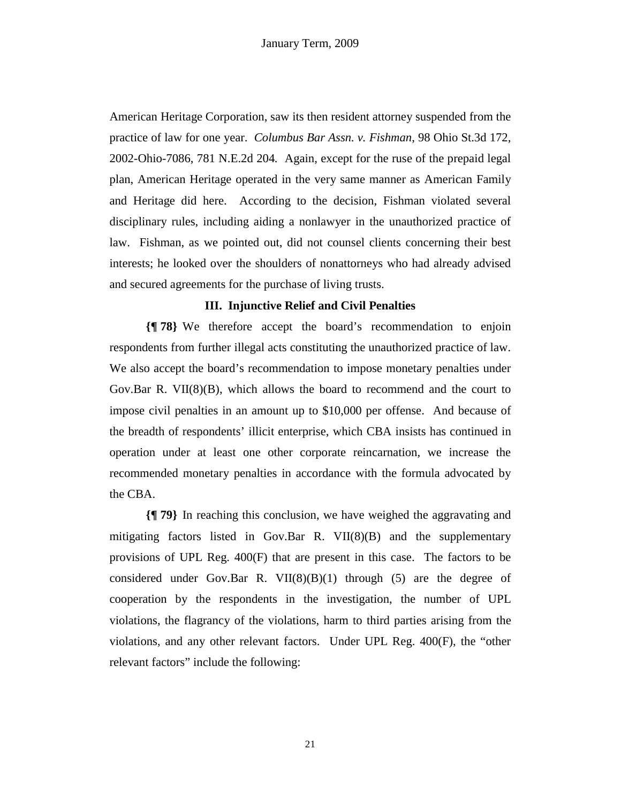American Heritage Corporation, saw its then resident attorney suspended from the practice of law for one year. *Columbus Bar Assn. v. Fishman*, 98 Ohio St.3d 172, 2002-Ohio-7086, 781 N.E.2d 204*.* Again, except for the ruse of the prepaid legal plan, American Heritage operated in the very same manner as American Family and Heritage did here. According to the decision, Fishman violated several disciplinary rules, including aiding a nonlawyer in the unauthorized practice of law. Fishman, as we pointed out, did not counsel clients concerning their best interests; he looked over the shoulders of nonattorneys who had already advised and secured agreements for the purchase of living trusts.

#### **III. Injunctive Relief and Civil Penalties**

**{¶ 78}** We therefore accept the board's recommendation to enjoin respondents from further illegal acts constituting the unauthorized practice of law. We also accept the board's recommendation to impose monetary penalties under Gov.Bar R. VII(8)(B), which allows the board to recommend and the court to impose civil penalties in an amount up to \$10,000 per offense. And because of the breadth of respondents' illicit enterprise, which CBA insists has continued in operation under at least one other corporate reincarnation, we increase the recommended monetary penalties in accordance with the formula advocated by the CBA.

**{¶ 79}** In reaching this conclusion, we have weighed the aggravating and mitigating factors listed in Gov.Bar R.  $VI(8)(B)$  and the supplementary provisions of UPL Reg. 400(F) that are present in this case. The factors to be considered under Gov.Bar R. VII $(8)(B)(1)$  through (5) are the degree of cooperation by the respondents in the investigation, the number of UPL violations, the flagrancy of the violations, harm to third parties arising from the violations, and any other relevant factors. Under UPL Reg. 400(F), the "other relevant factors" include the following: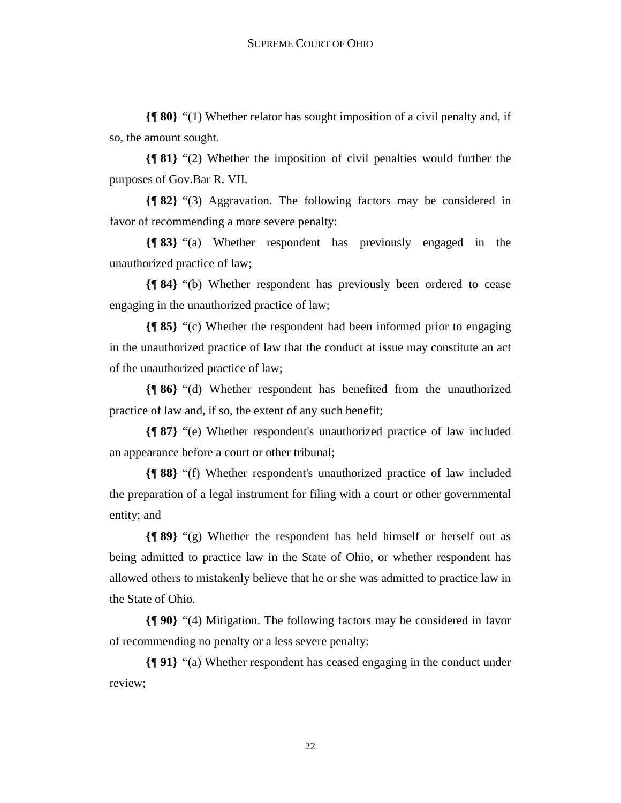**{¶ 80}** "(1) Whether relator has sought imposition of a civil penalty and, if so, the amount sought.

**{¶ 81}** "(2) Whether the imposition of civil penalties would further the purposes of Gov.Bar R. VII.

**{¶ 82}** "(3) Aggravation. The following factors may be considered in favor of recommending a more severe penalty:

**{¶ 83}** "(a) Whether respondent has previously engaged in the unauthorized practice of law;

**{¶ 84}** "(b) Whether respondent has previously been ordered to cease engaging in the unauthorized practice of law;

**{¶ 85}** "(c) Whether the respondent had been informed prior to engaging in the unauthorized practice of law that the conduct at issue may constitute an act of the unauthorized practice of law;

**{¶ 86}** "(d) Whether respondent has benefited from the unauthorized practice of law and, if so, the extent of any such benefit;

**{¶ 87}** "(e) Whether respondent's unauthorized practice of law included an appearance before a court or other tribunal;

**{¶ 88}** "(f) Whether respondent's unauthorized practice of law included the preparation of a legal instrument for filing with a court or other governmental entity; and

**{¶ 89}** "(g) Whether the respondent has held himself or herself out as being admitted to practice law in the State of Ohio, or whether respondent has allowed others to mistakenly believe that he or she was admitted to practice law in the State of Ohio.

**{¶ 90}** "(4) Mitigation. The following factors may be considered in favor of recommending no penalty or a less severe penalty:

**{¶ 91}** "(a) Whether respondent has ceased engaging in the conduct under review;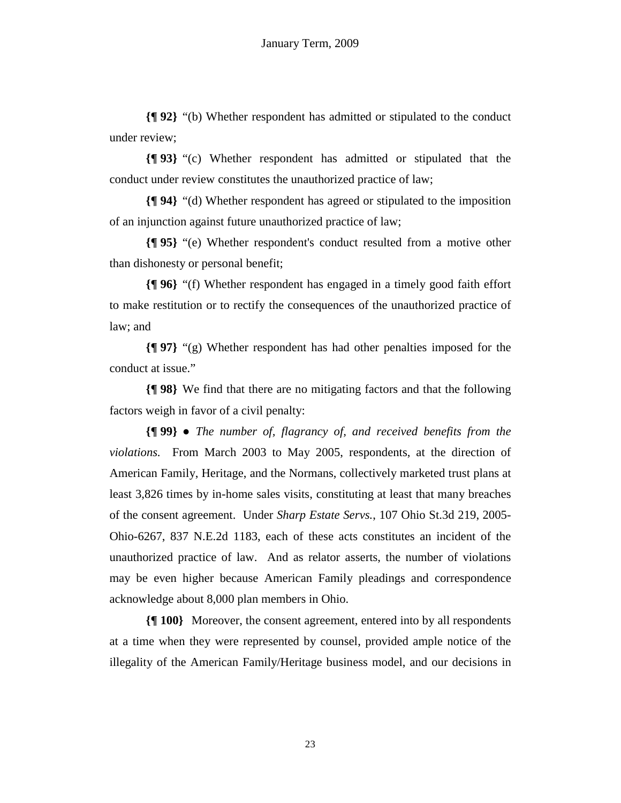**{¶ 92}** "(b) Whether respondent has admitted or stipulated to the conduct under review;

**{¶ 93}** "(c) Whether respondent has admitted or stipulated that the conduct under review constitutes the unauthorized practice of law;

**{¶ 94}** "(d) Whether respondent has agreed or stipulated to the imposition of an injunction against future unauthorized practice of law;

**{¶ 95}** "(e) Whether respondent's conduct resulted from a motive other than dishonesty or personal benefit;

**{¶ 96}** "(f) Whether respondent has engaged in a timely good faith effort to make restitution or to rectify the consequences of the unauthorized practice of law; and

**{¶ 97}** "(g) Whether respondent has had other penalties imposed for the conduct at issue."

**{¶ 98}** We find that there are no mitigating factors and that the following factors weigh in favor of a civil penalty:

**{¶ 99}** ● *The number of, flagrancy of, and received benefits from the violations.* From March 2003 to May 2005, respondents, at the direction of American Family, Heritage, and the Normans, collectively marketed trust plans at least 3,826 times by in-home sales visits, constituting at least that many breaches of the consent agreement. Under *Sharp Estate Servs.*, 107 Ohio St.3d 219, 2005- Ohio-6267, 837 N.E.2d 1183, each of these acts constitutes an incident of the unauthorized practice of law. And as relator asserts, the number of violations may be even higher because American Family pleadings and correspondence acknowledge about 8,000 plan members in Ohio.

**{¶ 100}** Moreover, the consent agreement, entered into by all respondents at a time when they were represented by counsel, provided ample notice of the illegality of the American Family/Heritage business model, and our decisions in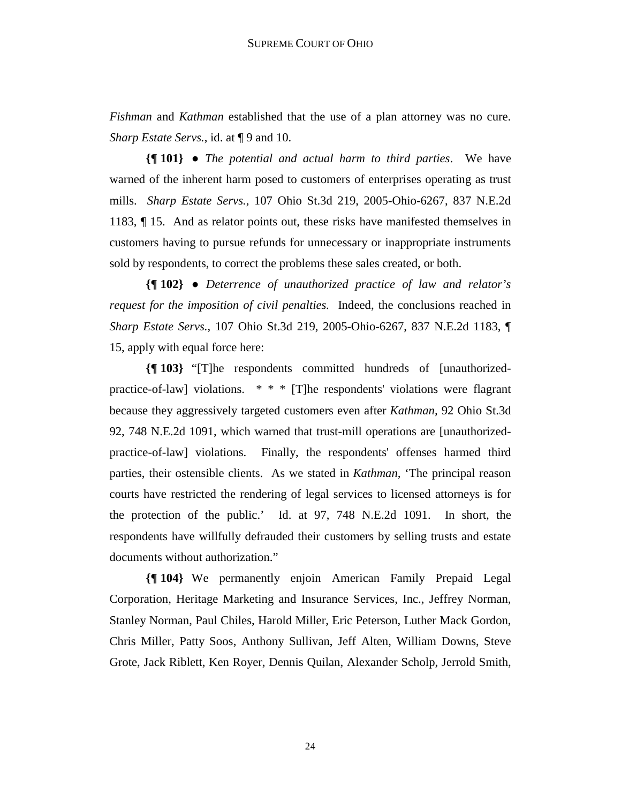*Fishman* and *Kathman* established that the use of a plan attorney was no cure. *Sharp Estate Servs.*, id. at  $\P$  9 and 10.

**{¶ 101}** ● *The potential and actual harm to third parties*. We have warned of the inherent harm posed to customers of enterprises operating as trust mills. *Sharp Estate Servs.*, 107 Ohio St.3d 219, 2005-Ohio-6267, 837 N.E.2d 1183, ¶ 15. And as relator points out, these risks have manifested themselves in customers having to pursue refunds for unnecessary or inappropriate instruments sold by respondents, to correct the problems these sales created, or both.

**{¶ 102}** ● *Deterrence of unauthorized practice of law and relator's request for the imposition of civil penalties.* Indeed, the conclusions reached in *Sharp Estate Servs.*, 107 Ohio St.3d 219, 2005-Ohio-6267, 837 N.E.2d 1183, ¶ 15, apply with equal force here:

**{¶ 103}** "[T]he respondents committed hundreds of [unauthorizedpractice-of-law] violations. \* \* \* [T]he respondents' violations were flagrant because they aggressively targeted customers even after *Kathman,* 92 Ohio St.3d 92, 748 N.E.2d 1091, which warned that trust-mill operations are [unauthorizedpractice-of-law] violations. Finally, the respondents' offenses harmed third parties, their ostensible clients. As we stated in *Kathman,* 'The principal reason courts have restricted the rendering of legal services to licensed attorneys is for the protection of the public.' Id. at 97, 748 N.E.2d 1091. In short, the respondents have willfully defrauded their customers by selling trusts and estate documents without authorization."

**{¶ 104}** We permanently enjoin American Family Prepaid Legal Corporation, Heritage Marketing and Insurance Services, Inc., Jeffrey Norman, Stanley Norman, Paul Chiles, Harold Miller, Eric Peterson, Luther Mack Gordon, Chris Miller, Patty Soos, Anthony Sullivan, Jeff Alten, William Downs, Steve Grote, Jack Riblett, Ken Royer, Dennis Quilan, Alexander Scholp, Jerrold Smith,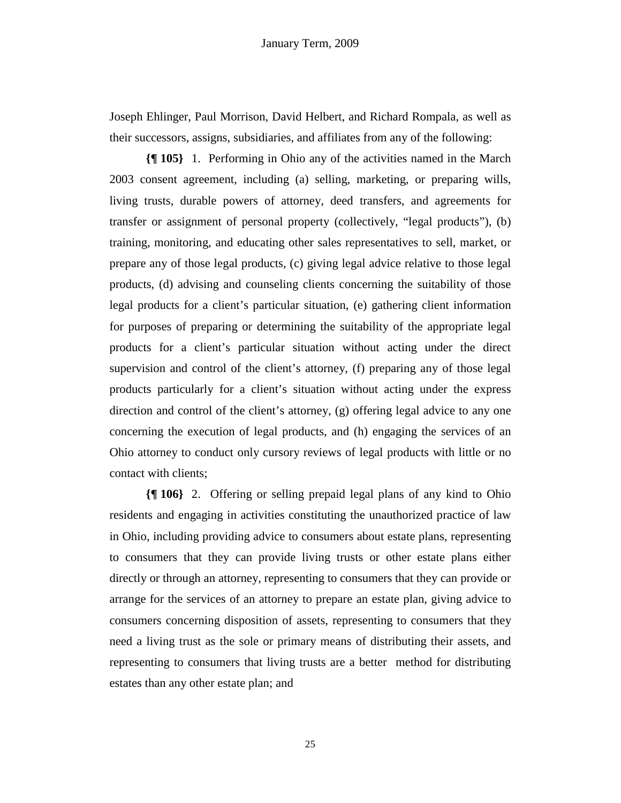Joseph Ehlinger, Paul Morrison, David Helbert, and Richard Rompala, as well as their successors, assigns, subsidiaries, and affiliates from any of the following:

**{¶ 105}** 1. Performing in Ohio any of the activities named in the March 2003 consent agreement, including (a) selling, marketing, or preparing wills, living trusts, durable powers of attorney, deed transfers, and agreements for transfer or assignment of personal property (collectively, "legal products"), (b) training, monitoring, and educating other sales representatives to sell, market, or prepare any of those legal products, (c) giving legal advice relative to those legal products, (d) advising and counseling clients concerning the suitability of those legal products for a client's particular situation, (e) gathering client information for purposes of preparing or determining the suitability of the appropriate legal products for a client's particular situation without acting under the direct supervision and control of the client's attorney, (f) preparing any of those legal products particularly for a client's situation without acting under the express direction and control of the client's attorney, (g) offering legal advice to any one concerning the execution of legal products, and (h) engaging the services of an Ohio attorney to conduct only cursory reviews of legal products with little or no contact with clients;

**{¶ 106}** 2. Offering or selling prepaid legal plans of any kind to Ohio residents and engaging in activities constituting the unauthorized practice of law in Ohio, including providing advice to consumers about estate plans, representing to consumers that they can provide living trusts or other estate plans either directly or through an attorney, representing to consumers that they can provide or arrange for the services of an attorney to prepare an estate plan, giving advice to consumers concerning disposition of assets, representing to consumers that they need a living trust as the sole or primary means of distributing their assets, and representing to consumers that living trusts are a better method for distributing estates than any other estate plan; and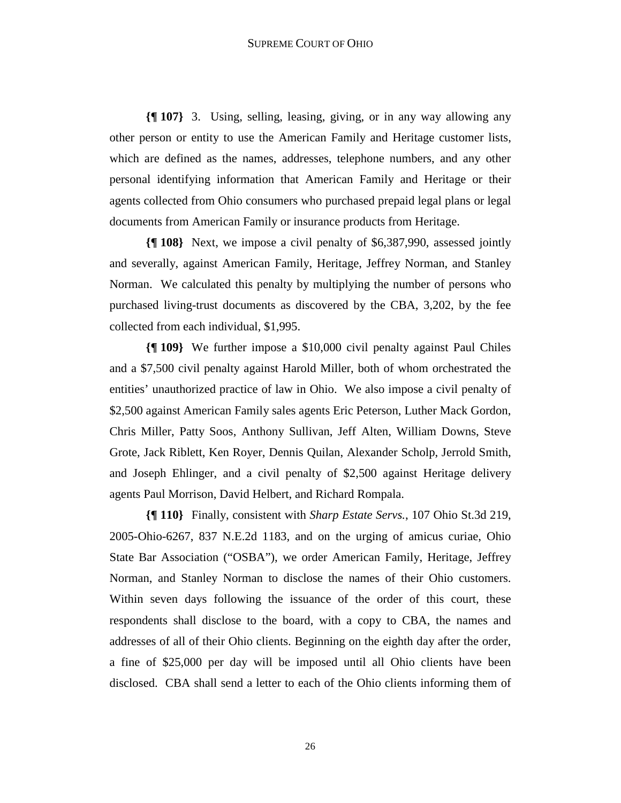**{¶ 107}** 3. Using, selling, leasing, giving, or in any way allowing any other person or entity to use the American Family and Heritage customer lists, which are defined as the names, addresses, telephone numbers, and any other personal identifying information that American Family and Heritage or their agents collected from Ohio consumers who purchased prepaid legal plans or legal documents from American Family or insurance products from Heritage.

**{¶ 108}** Next, we impose a civil penalty of \$6,387,990, assessed jointly and severally, against American Family, Heritage, Jeffrey Norman, and Stanley Norman. We calculated this penalty by multiplying the number of persons who purchased living-trust documents as discovered by the CBA, 3,202, by the fee collected from each individual, \$1,995.

**{¶ 109}** We further impose a \$10,000 civil penalty against Paul Chiles and a \$7,500 civil penalty against Harold Miller, both of whom orchestrated the entities' unauthorized practice of law in Ohio. We also impose a civil penalty of \$2,500 against American Family sales agents Eric Peterson, Luther Mack Gordon, Chris Miller, Patty Soos, Anthony Sullivan, Jeff Alten, William Downs, Steve Grote, Jack Riblett, Ken Royer, Dennis Quilan, Alexander Scholp, Jerrold Smith, and Joseph Ehlinger, and a civil penalty of \$2,500 against Heritage delivery agents Paul Morrison, David Helbert, and Richard Rompala.

**{¶ 110}** Finally, consistent with *Sharp Estate Servs.*, 107 Ohio St.3d 219, 2005-Ohio-6267, 837 N.E.2d 1183, and on the urging of amicus curiae, Ohio State Bar Association ("OSBA"), we order American Family, Heritage, Jeffrey Norman, and Stanley Norman to disclose the names of their Ohio customers. Within seven days following the issuance of the order of this court, these respondents shall disclose to the board, with a copy to CBA, the names and addresses of all of their Ohio clients. Beginning on the eighth day after the order, a fine of \$25,000 per day will be imposed until all Ohio clients have been disclosed. CBA shall send a letter to each of the Ohio clients informing them of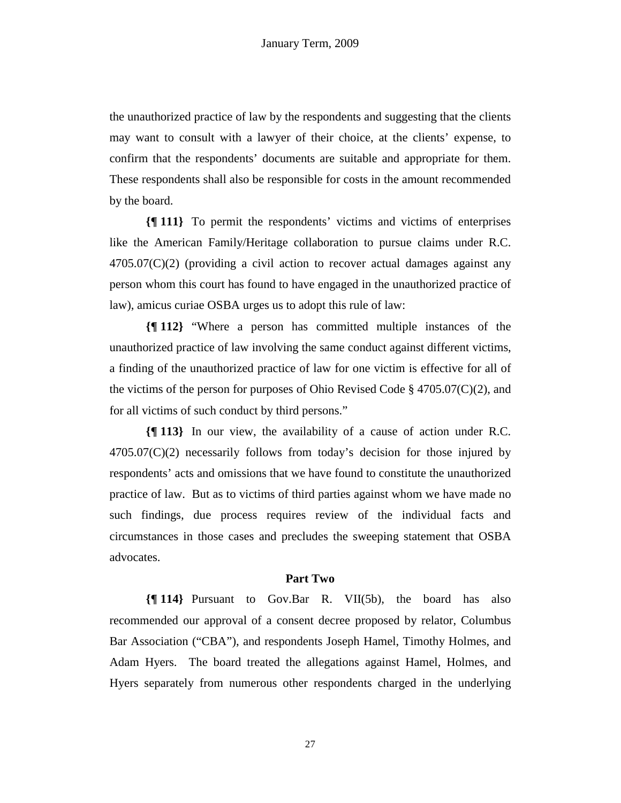the unauthorized practice of law by the respondents and suggesting that the clients may want to consult with a lawyer of their choice, at the clients' expense, to confirm that the respondents' documents are suitable and appropriate for them. These respondents shall also be responsible for costs in the amount recommended by the board.

**{¶ 111}** To permit the respondents' victims and victims of enterprises like the American Family/Heritage collaboration to pursue claims under R.C.  $4705.07(C)(2)$  (providing a civil action to recover actual damages against any person whom this court has found to have engaged in the unauthorized practice of law), amicus curiae OSBA urges us to adopt this rule of law:

**{¶ 112}** "Where a person has committed multiple instances of the unauthorized practice of law involving the same conduct against different victims, a finding of the unauthorized practice of law for one victim is effective for all of the victims of the person for purposes of Ohio Revised Code  $\S$  4705.07(C)(2), and for all victims of such conduct by third persons."

**{¶ 113}** In our view, the availability of a cause of action under R.C.  $4705.07(C)(2)$  necessarily follows from today's decision for those injured by respondents' acts and omissions that we have found to constitute the unauthorized practice of law. But as to victims of third parties against whom we have made no such findings, due process requires review of the individual facts and circumstances in those cases and precludes the sweeping statement that OSBA advocates.

#### **Part Two**

**{¶ 114}** Pursuant to Gov.Bar R. VII(5b), the board has also recommended our approval of a consent decree proposed by relator, Columbus Bar Association ("CBA"), and respondents Joseph Hamel, Timothy Holmes, and Adam Hyers. The board treated the allegations against Hamel, Holmes, and Hyers separately from numerous other respondents charged in the underlying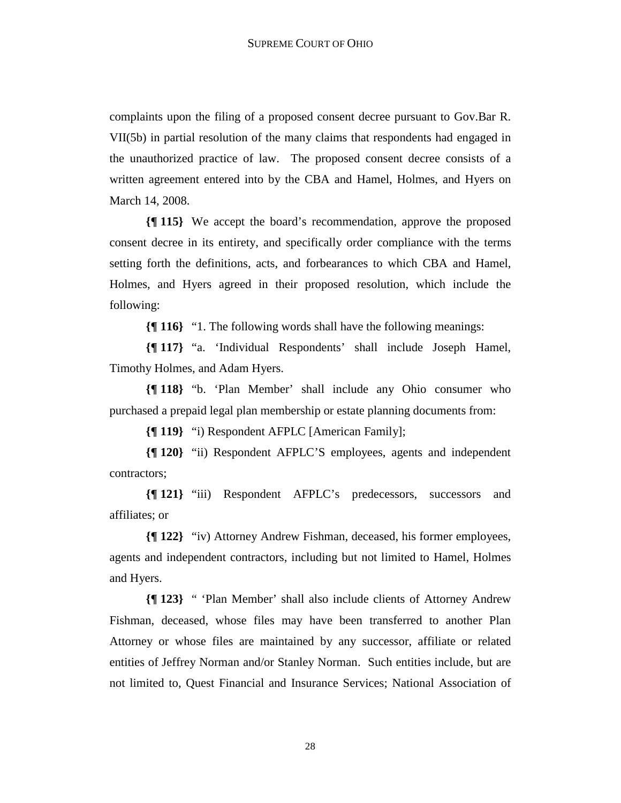complaints upon the filing of a proposed consent decree pursuant to Gov.Bar R. VII(5b) in partial resolution of the many claims that respondents had engaged in the unauthorized practice of law. The proposed consent decree consists of a written agreement entered into by the CBA and Hamel, Holmes, and Hyers on March 14, 2008.

**{¶ 115}** We accept the board's recommendation, approve the proposed consent decree in its entirety, and specifically order compliance with the terms setting forth the definitions, acts, and forbearances to which CBA and Hamel, Holmes, and Hyers agreed in their proposed resolution, which include the following:

**{¶ 116}** "1. The following words shall have the following meanings:

**{¶ 117}** "a. 'Individual Respondents' shall include Joseph Hamel, Timothy Holmes, and Adam Hyers.

**{¶ 118}** "b. 'Plan Member' shall include any Ohio consumer who purchased a prepaid legal plan membership or estate planning documents from:

**{¶ 119}** "i) Respondent AFPLC [American Family];

**{¶ 120}** "ii) Respondent AFPLC'S employees, agents and independent contractors;

**{¶ 121}** "iii) Respondent AFPLC's predecessors, successors and affiliates; or

**{¶ 122}** "iv) Attorney Andrew Fishman, deceased, his former employees, agents and independent contractors, including but not limited to Hamel, Holmes and Hyers.

**{¶ 123}** " 'Plan Member' shall also include clients of Attorney Andrew Fishman, deceased, whose files may have been transferred to another Plan Attorney or whose files are maintained by any successor, affiliate or related entities of Jeffrey Norman and/or Stanley Norman. Such entities include, but are not limited to, Quest Financial and Insurance Services; National Association of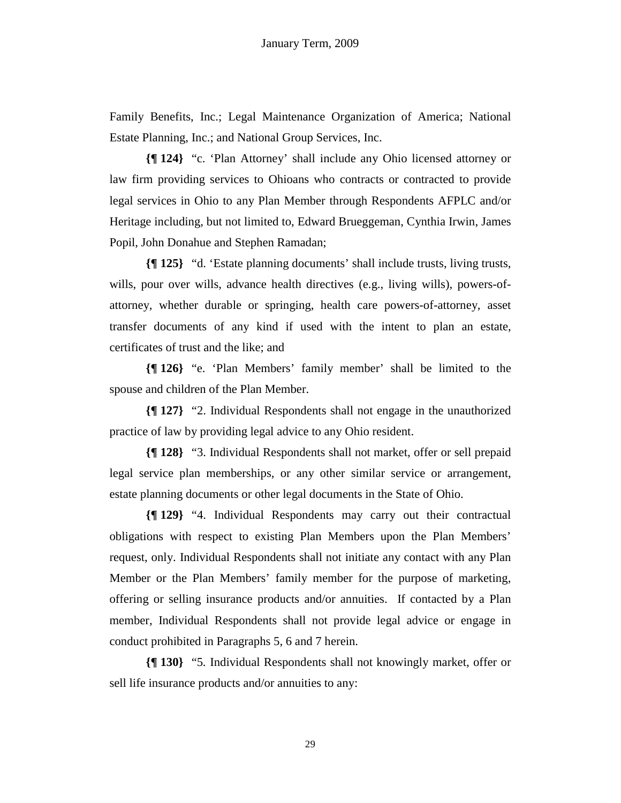Family Benefits, Inc.; Legal Maintenance Organization of America; National Estate Planning, Inc.; and National Group Services, Inc.

**{¶ 124}** "c. 'Plan Attorney' shall include any Ohio licensed attorney or law firm providing services to Ohioans who contracts or contracted to provide legal services in Ohio to any Plan Member through Respondents AFPLC and/or Heritage including, but not limited to, Edward Brueggeman, Cynthia Irwin, James Popil, John Donahue and Stephen Ramadan;

**{¶ 125}** "d. 'Estate planning documents' shall include trusts, living trusts, wills, pour over wills, advance health directives (e.g., living wills), powers-ofattorney, whether durable or springing, health care powers-of-attorney, asset transfer documents of any kind if used with the intent to plan an estate, certificates of trust and the like; and

**{¶ 126}** "e. 'Plan Members' family member' shall be limited to the spouse and children of the Plan Member.

**{¶ 127}** "2. Individual Respondents shall not engage in the unauthorized practice of law by providing legal advice to any Ohio resident.

**{¶ 128}** "3. Individual Respondents shall not market, offer or sell prepaid legal service plan memberships, or any other similar service or arrangement, estate planning documents or other legal documents in the State of Ohio.

**{¶ 129}** "4. Individual Respondents may carry out their contractual obligations with respect to existing Plan Members upon the Plan Members' request, only. Individual Respondents shall not initiate any contact with any Plan Member or the Plan Members' family member for the purpose of marketing, offering or selling insurance products and/or annuities. If contacted by a Plan member, Individual Respondents shall not provide legal advice or engage in conduct prohibited in Paragraphs 5, 6 and 7 herein.

**{¶ 130}** "5*.* Individual Respondents shall not knowingly market, offer or sell life insurance products and/or annuities to any: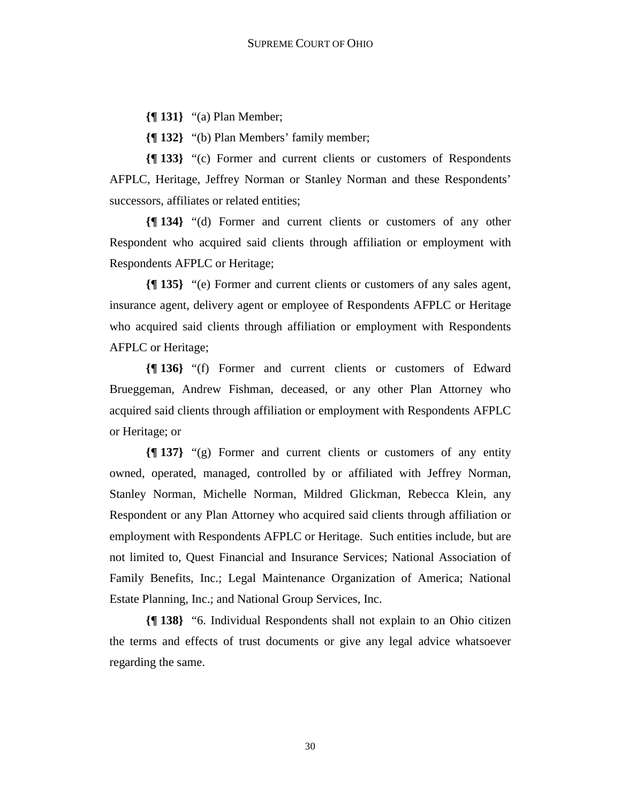**{¶ 131}** "(a) Plan Member;

**{¶ 132}** "(b) Plan Members' family member;

**{¶ 133}** "(c) Former and current clients or customers of Respondents AFPLC, Heritage, Jeffrey Norman or Stanley Norman and these Respondents' successors, affiliates or related entities;

**{¶ 134}** "(d) Former and current clients or customers of any other Respondent who acquired said clients through affiliation or employment with Respondents AFPLC or Heritage;

**{¶ 135}** "(e) Former and current clients or customers of any sales agent, insurance agent, delivery agent or employee of Respondents AFPLC or Heritage who acquired said clients through affiliation or employment with Respondents AFPLC or Heritage;

**{¶ 136}** "(f) Former and current clients or customers of Edward Brueggeman, Andrew Fishman, deceased, or any other Plan Attorney who acquired said clients through affiliation or employment with Respondents AFPLC or Heritage; or

**{¶ 137}** "(g) Former and current clients or customers of any entity owned, operated, managed, controlled by or affiliated with Jeffrey Norman, Stanley Norman, Michelle Norman, Mildred Glickman, Rebecca Klein, any Respondent or any Plan Attorney who acquired said clients through affiliation or employment with Respondents AFPLC or Heritage. Such entities include, but are not limited to, Quest Financial and Insurance Services; National Association of Family Benefits, Inc.; Legal Maintenance Organization of America; National Estate Planning, Inc.; and National Group Services, Inc.

**{¶ 138}** "6. Individual Respondents shall not explain to an Ohio citizen the terms and effects of trust documents or give any legal advice whatsoever regarding the same.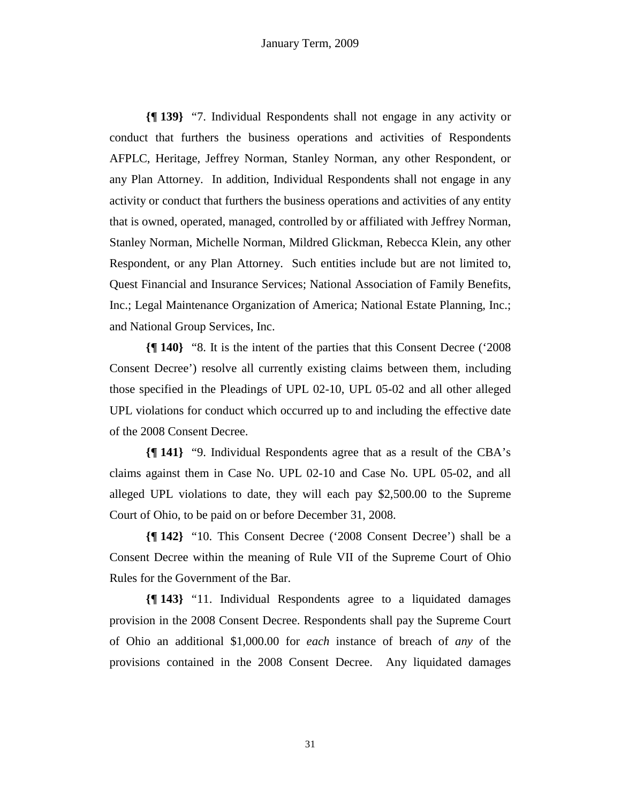**{¶ 139}** "7. Individual Respondents shall not engage in any activity or conduct that furthers the business operations and activities of Respondents AFPLC, Heritage, Jeffrey Norman, Stanley Norman, any other Respondent, or any Plan Attorney. In addition, Individual Respondents shall not engage in any activity or conduct that furthers the business operations and activities of any entity that is owned, operated, managed, controlled by or affiliated with Jeffrey Norman, Stanley Norman, Michelle Norman, Mildred Glickman, Rebecca Klein, any other Respondent, or any Plan Attorney. Such entities include but are not limited to, Quest Financial and Insurance Services; National Association of Family Benefits, Inc.; Legal Maintenance Organization of America; National Estate Planning, Inc.; and National Group Services, Inc.

**{¶ 140}** "8. It is the intent of the parties that this Consent Decree ('2008 Consent Decree') resolve all currently existing claims between them, including those specified in the Pleadings of UPL 02-10, UPL 05-02 and all other alleged UPL violations for conduct which occurred up to and including the effective date of the 2008 Consent Decree.

**{¶ 141}** "9. Individual Respondents agree that as a result of the CBA's claims against them in Case No. UPL 02-10 and Case No. UPL 05-02, and all alleged UPL violations to date, they will each pay \$2,500.00 to the Supreme Court of Ohio, to be paid on or before December 31, 2008.

**{¶ 142}** "10. This Consent Decree ('2008 Consent Decree') shall be a Consent Decree within the meaning of Rule VII of the Supreme Court of Ohio Rules for the Government of the Bar.

**{¶ 143}** "11. Individual Respondents agree to a liquidated damages provision in the 2008 Consent Decree. Respondents shall pay the Supreme Court of Ohio an additional \$1,000.00 for *each* instance of breach of *any* of the provisions contained in the 2008 Consent Decree. Any liquidated damages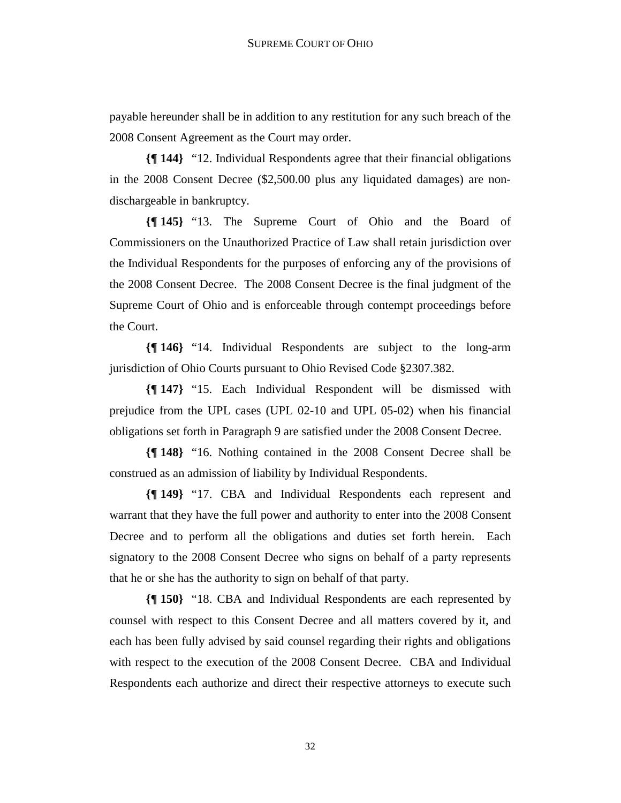payable hereunder shall be in addition to any restitution for any such breach of the 2008 Consent Agreement as the Court may order.

**{¶ 144}** "12. Individual Respondents agree that their financial obligations in the 2008 Consent Decree (\$2,500.00 plus any liquidated damages) are nondischargeable in bankruptcy.

**{¶ 145}** "13. The Supreme Court of Ohio and the Board of Commissioners on the Unauthorized Practice of Law shall retain jurisdiction over the Individual Respondents for the purposes of enforcing any of the provisions of the 2008 Consent Decree. The 2008 Consent Decree is the final judgment of the Supreme Court of Ohio and is enforceable through contempt proceedings before the Court.

**{¶ 146}** "14. Individual Respondents are subject to the long-arm jurisdiction of Ohio Courts pursuant to Ohio Revised Code §2307.382.

**{¶ 147}** "15. Each Individual Respondent will be dismissed with prejudice from the UPL cases (UPL 02-10 and UPL 05-02) when his financial obligations set forth in Paragraph 9 are satisfied under the 2008 Consent Decree.

**{¶ 148}** "16. Nothing contained in the 2008 Consent Decree shall be construed as an admission of liability by Individual Respondents.

**{¶ 149}** "17. CBA and Individual Respondents each represent and warrant that they have the full power and authority to enter into the 2008 Consent Decree and to perform all the obligations and duties set forth herein. Each signatory to the 2008 Consent Decree who signs on behalf of a party represents that he or she has the authority to sign on behalf of that party.

**{¶ 150}** "18. CBA and Individual Respondents are each represented by counsel with respect to this Consent Decree and all matters covered by it, and each has been fully advised by said counsel regarding their rights and obligations with respect to the execution of the 2008 Consent Decree. CBA and Individual Respondents each authorize and direct their respective attorneys to execute such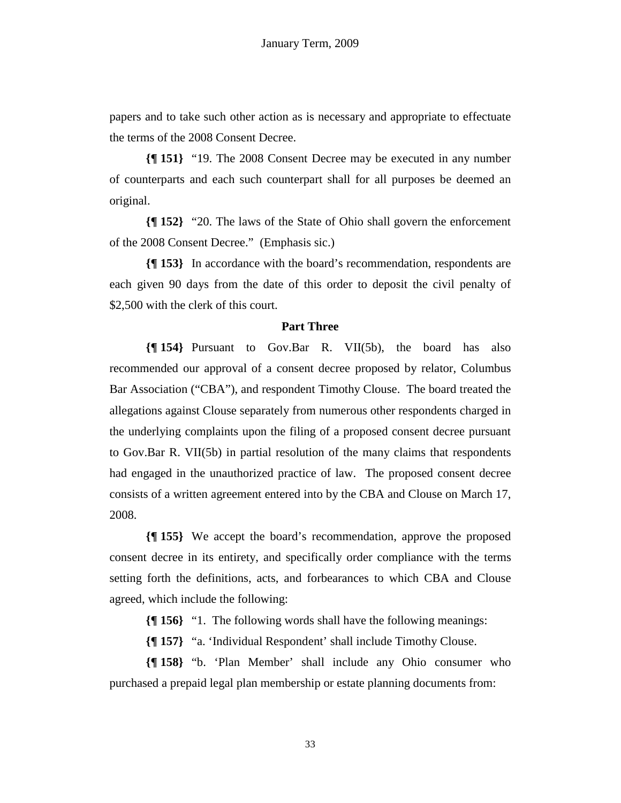papers and to take such other action as is necessary and appropriate to effectuate the terms of the 2008 Consent Decree.

**{¶ 151}** "19. The 2008 Consent Decree may be executed in any number of counterparts and each such counterpart shall for all purposes be deemed an original.

**{¶ 152}** "20. The laws of the State of Ohio shall govern the enforcement of the 2008 Consent Decree." (Emphasis sic.)

**{¶ 153}** In accordance with the board's recommendation, respondents are each given 90 days from the date of this order to deposit the civil penalty of \$2,500 with the clerk of this court.

#### **Part Three**

**{¶ 154}** Pursuant to Gov.Bar R. VII(5b), the board has also recommended our approval of a consent decree proposed by relator, Columbus Bar Association ("CBA"), and respondent Timothy Clouse. The board treated the allegations against Clouse separately from numerous other respondents charged in the underlying complaints upon the filing of a proposed consent decree pursuant to Gov.Bar R. VII(5b) in partial resolution of the many claims that respondents had engaged in the unauthorized practice of law. The proposed consent decree consists of a written agreement entered into by the CBA and Clouse on March 17, 2008.

**{¶ 155}** We accept the board's recommendation, approve the proposed consent decree in its entirety, and specifically order compliance with the terms setting forth the definitions, acts, and forbearances to which CBA and Clouse agreed, which include the following:

**{¶ 156}** "1. The following words shall have the following meanings:

**{¶ 157}** "a. 'Individual Respondent' shall include Timothy Clouse.

**{¶ 158}** "b. 'Plan Member' shall include any Ohio consumer who purchased a prepaid legal plan membership or estate planning documents from: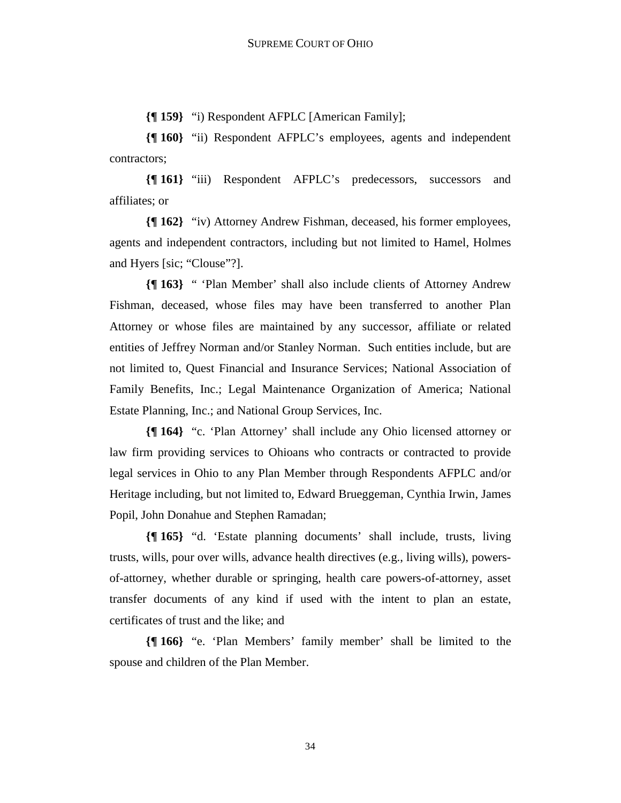**{¶ 159}** "i) Respondent AFPLC [American Family];

**{¶ 160}** "ii) Respondent AFPLC's employees, agents and independent contractors;

**{¶ 161}** "iii) Respondent AFPLC's predecessors, successors and affiliates; or

**{¶ 162}** "iv) Attorney Andrew Fishman, deceased, his former employees, agents and independent contractors, including but not limited to Hamel, Holmes and Hyers [sic; "Clouse"?].

**{¶ 163}** " 'Plan Member' shall also include clients of Attorney Andrew Fishman, deceased, whose files may have been transferred to another Plan Attorney or whose files are maintained by any successor, affiliate or related entities of Jeffrey Norman and/or Stanley Norman. Such entities include, but are not limited to, Quest Financial and Insurance Services; National Association of Family Benefits, Inc.; Legal Maintenance Organization of America; National Estate Planning, Inc.; and National Group Services, Inc.

**{¶ 164}** "c. 'Plan Attorney' shall include any Ohio licensed attorney or law firm providing services to Ohioans who contracts or contracted to provide legal services in Ohio to any Plan Member through Respondents AFPLC and/or Heritage including, but not limited to, Edward Brueggeman, Cynthia Irwin, James Popil, John Donahue and Stephen Ramadan;

**{¶ 165}** "d. 'Estate planning documents' shall include, trusts, living trusts, wills, pour over wills, advance health directives (e.g., living wills), powersof-attorney, whether durable or springing, health care powers-of-attorney, asset transfer documents of any kind if used with the intent to plan an estate, certificates of trust and the like; and

**{¶ 166}** "e. 'Plan Members' family member' shall be limited to the spouse and children of the Plan Member.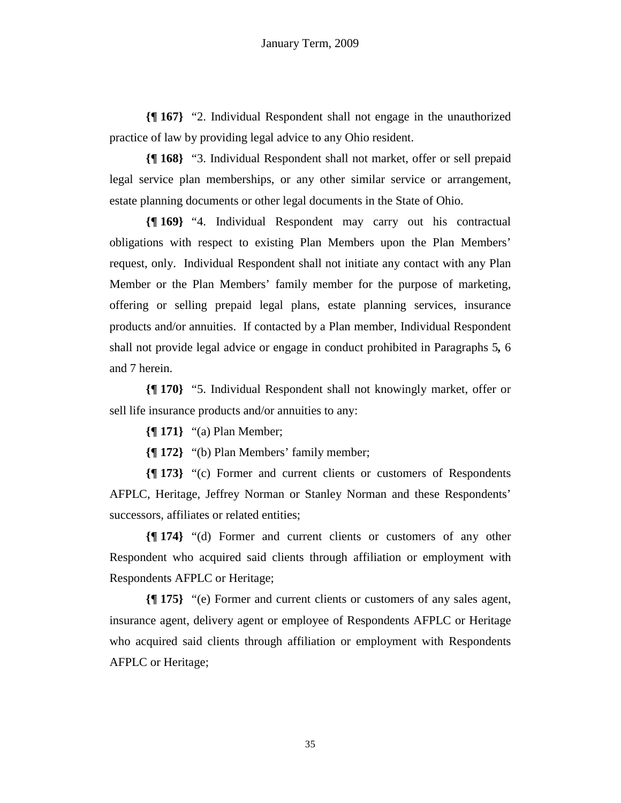**{¶ 167}** "2. Individual Respondent shall not engage in the unauthorized practice of law by providing legal advice to any Ohio resident.

**{¶ 168}** "3. Individual Respondent shall not market, offer or sell prepaid legal service plan memberships, or any other similar service or arrangement, estate planning documents or other legal documents in the State of Ohio.

**{¶ 169}** "4. Individual Respondent may carry out his contractual obligations with respect to existing Plan Members upon the Plan Members' request, only. Individual Respondent shall not initiate any contact with any Plan Member or the Plan Members' family member for the purpose of marketing, offering or selling prepaid legal plans, estate planning services, insurance products and/or annuities. If contacted by a Plan member, Individual Respondent shall not provide legal advice or engage in conduct prohibited in Paragraphs 5*,* 6 and 7 herein.

**{¶ 170}** "5. Individual Respondent shall not knowingly market, offer or sell life insurance products and/or annuities to any:

**{¶ 171}** "(a) Plan Member;

**{¶ 172}** "(b) Plan Members' family member;

**{¶ 173}** "(c) Former and current clients or customers of Respondents AFPLC, Heritage, Jeffrey Norman or Stanley Norman and these Respondents' successors, affiliates or related entities;

**{¶ 174}** "(d) Former and current clients or customers of any other Respondent who acquired said clients through affiliation or employment with Respondents AFPLC or Heritage;

**{¶ 175}** "(e) Former and current clients or customers of any sales agent, insurance agent, delivery agent or employee of Respondents AFPLC or Heritage who acquired said clients through affiliation or employment with Respondents AFPLC or Heritage;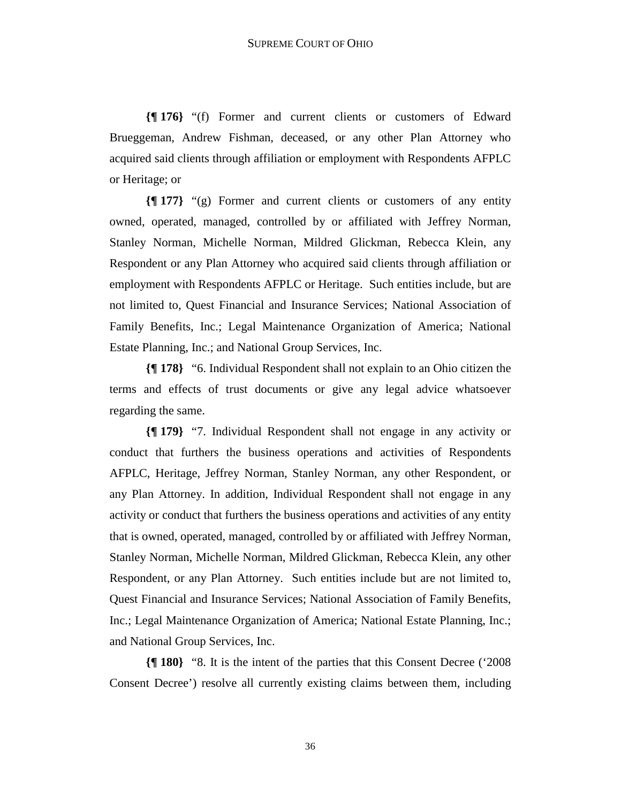**{¶ 176}** "(f) Former and current clients or customers of Edward Brueggeman, Andrew Fishman, deceased, or any other Plan Attorney who acquired said clients through affiliation or employment with Respondents AFPLC or Heritage; or

**{¶ 177}** "(g) Former and current clients or customers of any entity owned, operated, managed, controlled by or affiliated with Jeffrey Norman, Stanley Norman, Michelle Norman, Mildred Glickman, Rebecca Klein, any Respondent or any Plan Attorney who acquired said clients through affiliation or employment with Respondents AFPLC or Heritage. Such entities include, but are not limited to, Quest Financial and Insurance Services; National Association of Family Benefits, Inc.; Legal Maintenance Organization of America; National Estate Planning, Inc.; and National Group Services, Inc.

**{¶ 178}** "6. Individual Respondent shall not explain to an Ohio citizen the terms and effects of trust documents or give any legal advice whatsoever regarding the same.

**{¶ 179}** "7. Individual Respondent shall not engage in any activity or conduct that furthers the business operations and activities of Respondents AFPLC, Heritage, Jeffrey Norman, Stanley Norman, any other Respondent, or any Plan Attorney. In addition, Individual Respondent shall not engage in any activity or conduct that furthers the business operations and activities of any entity that is owned, operated, managed, controlled by or affiliated with Jeffrey Norman, Stanley Norman, Michelle Norman, Mildred Glickman, Rebecca Klein, any other Respondent, or any Plan Attorney. Such entities include but are not limited to, Quest Financial and Insurance Services; National Association of Family Benefits, Inc.; Legal Maintenance Organization of America; National Estate Planning, Inc.; and National Group Services, Inc.

**{¶ 180}** "8. It is the intent of the parties that this Consent Decree ('2008 Consent Decree') resolve all currently existing claims between them, including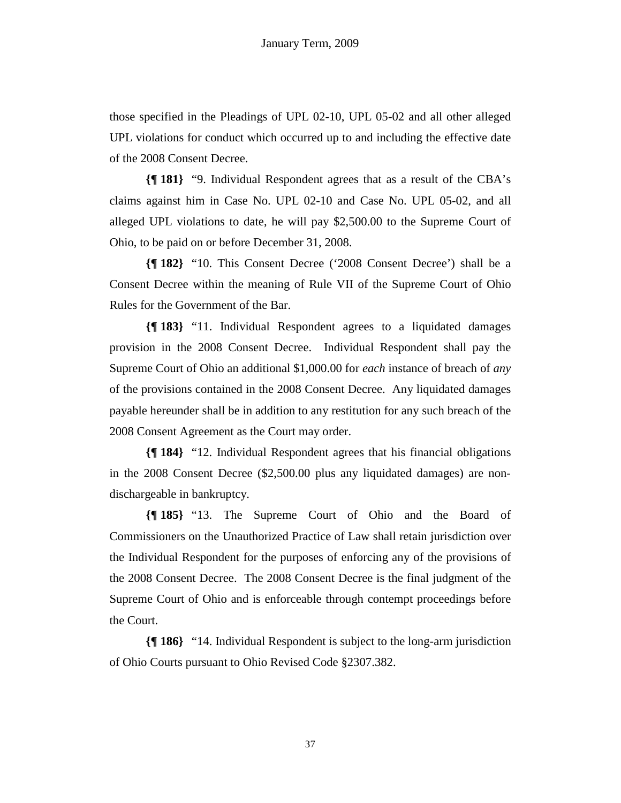those specified in the Pleadings of UPL 02-10, UPL 05-02 and all other alleged UPL violations for conduct which occurred up to and including the effective date of the 2008 Consent Decree.

**{¶ 181}** "9. Individual Respondent agrees that as a result of the CBA's claims against him in Case No. UPL 02-10 and Case No. UPL 05-02, and all alleged UPL violations to date, he will pay \$2,500.00 to the Supreme Court of Ohio, to be paid on or before December 31, 2008.

**{¶ 182}** "10. This Consent Decree ('2008 Consent Decree') shall be a Consent Decree within the meaning of Rule VII of the Supreme Court of Ohio Rules for the Government of the Bar.

**{¶ 183}** "11. Individual Respondent agrees to a liquidated damages provision in the 2008 Consent Decree. Individual Respondent shall pay the Supreme Court of Ohio an additional \$1,000.00 for *each* instance of breach of *any* of the provisions contained in the 2008 Consent Decree. Any liquidated damages payable hereunder shall be in addition to any restitution for any such breach of the 2008 Consent Agreement as the Court may order.

**{¶ 184}** "12. Individual Respondent agrees that his financial obligations in the 2008 Consent Decree (\$2,500.00 plus any liquidated damages) are nondischargeable in bankruptcy.

**{¶ 185}** "13. The Supreme Court of Ohio and the Board of Commissioners on the Unauthorized Practice of Law shall retain jurisdiction over the Individual Respondent for the purposes of enforcing any of the provisions of the 2008 Consent Decree. The 2008 Consent Decree is the final judgment of the Supreme Court of Ohio and is enforceable through contempt proceedings before the Court.

**{¶ 186}** "14. Individual Respondent is subject to the long-arm jurisdiction of Ohio Courts pursuant to Ohio Revised Code §2307.382.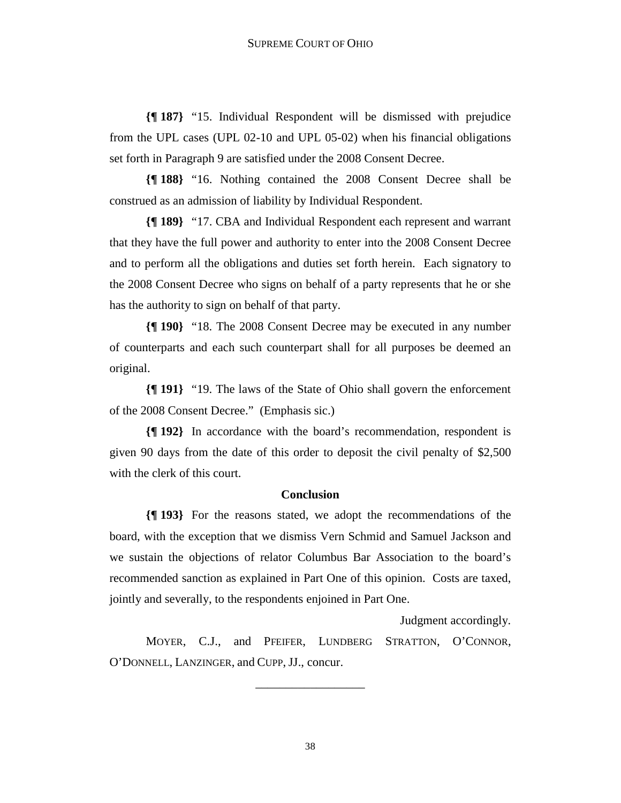**{¶ 187}** "15. Individual Respondent will be dismissed with prejudice from the UPL cases (UPL 02-10 and UPL 05-02) when his financial obligations set forth in Paragraph 9 are satisfied under the 2008 Consent Decree.

**{¶ 188}** "16. Nothing contained the 2008 Consent Decree shall be construed as an admission of liability by Individual Respondent.

**{¶ 189}** "17. CBA and Individual Respondent each represent and warrant that they have the full power and authority to enter into the 2008 Consent Decree and to perform all the obligations and duties set forth herein. Each signatory to the 2008 Consent Decree who signs on behalf of a party represents that he or she has the authority to sign on behalf of that party.

**{¶ 190}** "18. The 2008 Consent Decree may be executed in any number of counterparts and each such counterpart shall for all purposes be deemed an original.

**{¶ 191}** "19. The laws of the State of Ohio shall govern the enforcement of the 2008 Consent Decree." (Emphasis sic.)

**{¶ 192}** In accordance with the board's recommendation, respondent is given 90 days from the date of this order to deposit the civil penalty of \$2,500 with the clerk of this court.

#### **Conclusion**

**{¶ 193}** For the reasons stated, we adopt the recommendations of the board, with the exception that we dismiss Vern Schmid and Samuel Jackson and we sustain the objections of relator Columbus Bar Association to the board's recommended sanction as explained in Part One of this opinion. Costs are taxed, jointly and severally, to the respondents enjoined in Part One.

Judgment accordingly.

 MOYER, C.J., and PFEIFER, LUNDBERG STRATTON, O'CONNOR, O'DONNELL, LANZINGER, and CUPP, JJ., concur.

\_\_\_\_\_\_\_\_\_\_\_\_\_\_\_\_\_\_